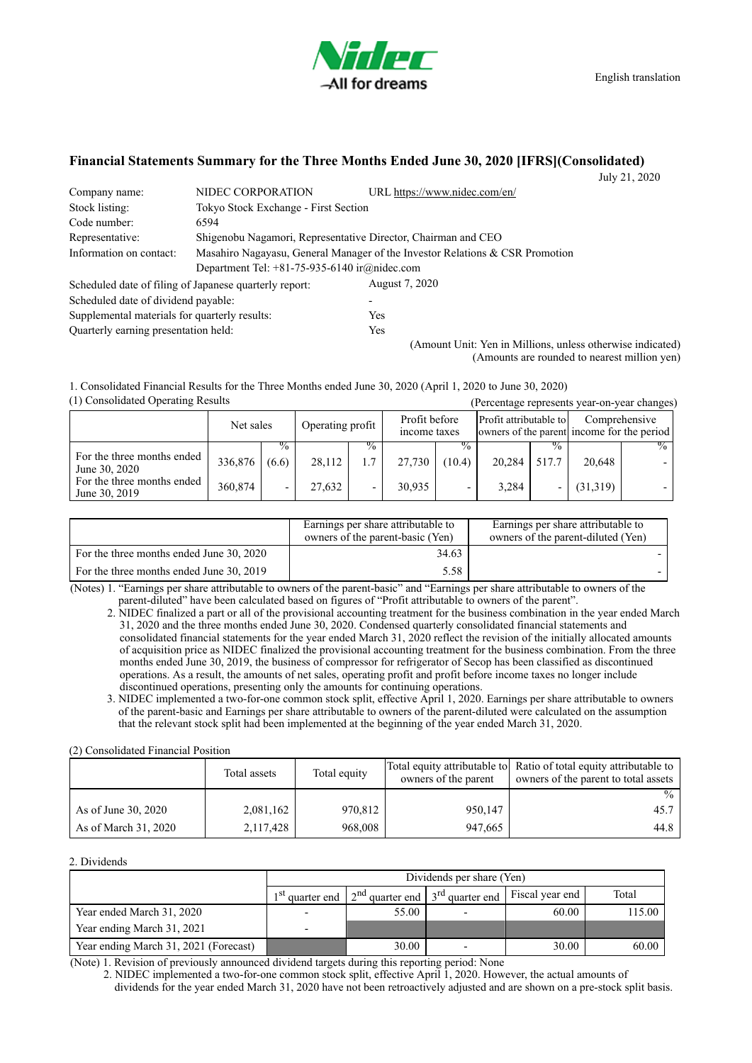

English translation

## **Financial Statements Summary for the Three Months Ended June 30, 2020 [IFRS](Consolidated)**

July 21, 2020

| Company name:                                                                                           | NIDEC CORPORATION                                      | URL https://www.nidec.com/en/                                 |  |  |
|---------------------------------------------------------------------------------------------------------|--------------------------------------------------------|---------------------------------------------------------------|--|--|
| Stock listing:                                                                                          | Tokyo Stock Exchange - First Section                   |                                                               |  |  |
| Code number:                                                                                            | 6594                                                   |                                                               |  |  |
| Representative:                                                                                         |                                                        | Shigenobu Nagamori, Representative Director, Chairman and CEO |  |  |
| Information on contact:<br>Masahiro Nagayasu, General Manager of the Investor Relations & CSR Promotion |                                                        |                                                               |  |  |
|                                                                                                         | Department Tel: $+81-75-935-6140$ ir@nidec.com         |                                                               |  |  |
|                                                                                                         | Scheduled date of filing of Japanese quarterly report: | August 7, 2020                                                |  |  |
| Scheduled date of dividend payable:                                                                     |                                                        |                                                               |  |  |
| Supplemental materials for quarterly results:                                                           |                                                        | <b>Yes</b>                                                    |  |  |
| Ouarterly earning presentation held:                                                                    |                                                        | Yes                                                           |  |  |

(Amount Unit: Yen in Millions, unless otherwise indicated) (Amounts are rounded to nearest million yen)

(1) Consolidated Operating Results (Percentage represents year-on-year changes) 1. Consolidated Financial Results for the Three Months ended June 30, 2020 (April 1, 2020 to June 30, 2020)

|                                             | Net sales |               | Operating profit |                         | Profit before<br>income taxes |                         | Profit attributable to |       | Comprehensive<br>owners of the parent income for the period |      |
|---------------------------------------------|-----------|---------------|------------------|-------------------------|-------------------------------|-------------------------|------------------------|-------|-------------------------------------------------------------|------|
| For the three months ended<br>June 30, 2020 | 336,876   | $\%$<br>(6.6) | 28,112           | $\%$<br>$\mathbf{\tau}$ | 27,730                        | $\frac{0}{0}$<br>(10.4) | 20,284                 | 517.7 | 20,648                                                      | $\%$ |
| For the three months ended<br>June 30, 2019 | 360,874   |               | 27.632           |                         | 30,935                        |                         | 3,284                  |       | (31,319)                                                    |      |

|                                          | Earnings per share attributable to<br>owners of the parent-basic (Yen) | Earnings per share attributable to<br>owners of the parent-diluted (Yen) |
|------------------------------------------|------------------------------------------------------------------------|--------------------------------------------------------------------------|
| For the three months ended June 30, 2020 | 34.63                                                                  |                                                                          |
| For the three months ended June 30, 2019 | 5.58                                                                   |                                                                          |

(Notes) 1. "Earnings per share attributable to owners of the parent-basic" and "Earnings per share attributable to owners of the parent-diluted" have been calculated based on figures of "Profit attributable to owners of the parent".

- 2. NIDEC finalized a part or all of the provisional accounting treatment for the business combination in the year ended March 31, 2020 and the three months ended June 30, 2020. Condensed quarterly consolidated financial statements and consolidated financial statements for the year ended March 31, 2020 reflect the revision of the initially allocated amounts of acquisition price as NIDEC finalized the provisional accounting treatment for the business combination. From the three months ended June 30, 2019, the business of compressor for refrigerator of Secop has been classified as discontinued operations. As a result, the amounts of net sales, operating profit and profit before income taxes no longer include discontinued operations, presenting only the amounts for continuing operations.
- 3. NIDEC implemented a two-for-one common stock split, effective April 1, 2020. Earnings per share attributable to owners of the parent-basic and Earnings per share attributable to owners of the parent-diluted were calculated on the assumption that the relevant stock split had been implemented at the beginning of the year ended March 31, 2020.

(2) Consolidated Financial Position

|                      | Total assets | Total equity | owners of the parent | Total equity attributable to Ratio of total equity attributable to<br>owners of the parent to total assets |  |
|----------------------|--------------|--------------|----------------------|------------------------------------------------------------------------------------------------------------|--|
|                      |              |              |                      | $\frac{0}{0}$                                                                                              |  |
| As of June 30, 2020  | 2,081,162    | 970,812      | 950,147              | 45.7                                                                                                       |  |
| As of March 31, 2020 | 2,117,428    | 968,008      | 947,665              | 44.8                                                                                                       |  |

2. Dividends

|                                       | Dividends per share (Yen) |                                     |  |                 |        |  |  |  |
|---------------------------------------|---------------------------|-------------------------------------|--|-----------------|--------|--|--|--|
|                                       | $1st$ quarter end         | $2nd$ quarter end $3rd$ quarter end |  | Fiscal year end | Total  |  |  |  |
| Year ended March 31, 2020             |                           | 55.00                               |  | 60.00           | 115.00 |  |  |  |
| Year ending March 31, 2021            |                           |                                     |  |                 |        |  |  |  |
| Year ending March 31, 2021 (Forecast) |                           | 30.00                               |  | 30.00           | 60.00  |  |  |  |

(Note) 1. Revision of previously announced dividend targets during this reporting period: None

2. NIDEC implemented a two-for-one common stock split, effective April 1, 2020. However, the actual amounts of dividends for the year ended March 31, 2020 have not been retroactively adjusted and are shown on a pre-stock split basis.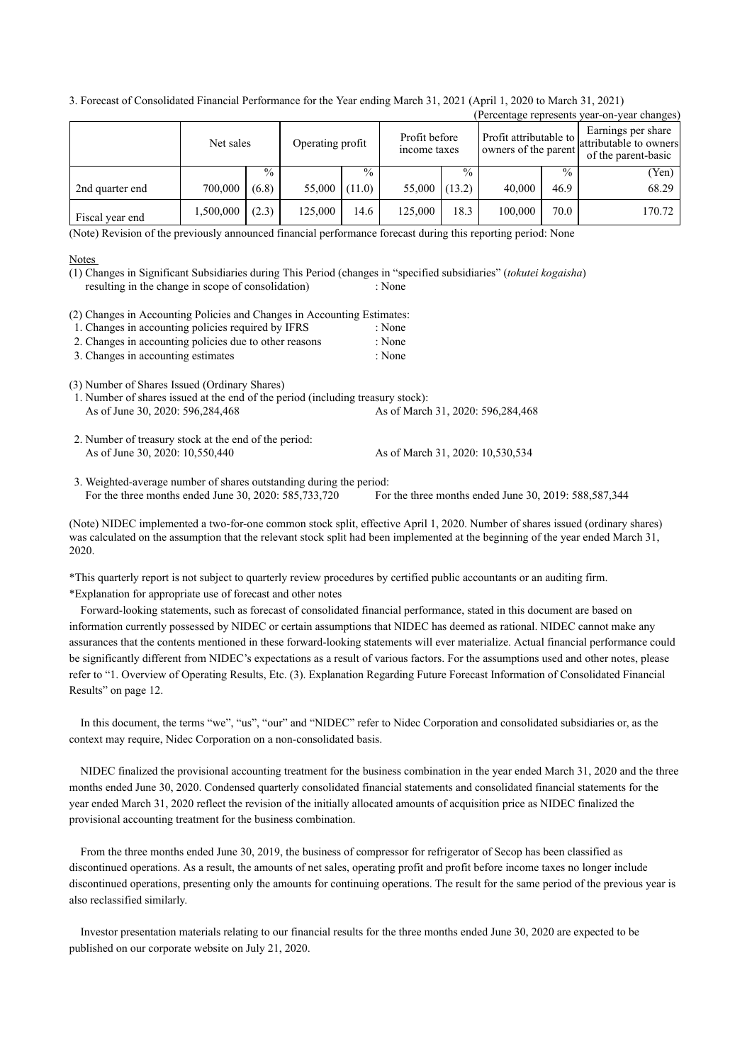3. Forecast of Consolidated Financial Performance for the Year ending March 31, 2021 (April 1, 2020 to March 31, 2021)

| (Percentage represents year-on-year changes) |           |               |                  |               |                               |               |                                                |               |                                                                     |
|----------------------------------------------|-----------|---------------|------------------|---------------|-------------------------------|---------------|------------------------------------------------|---------------|---------------------------------------------------------------------|
|                                              | Net sales |               | Operating profit |               | Profit before<br>income taxes |               | Profit attributable to<br>owners of the parent |               | Earnings per share<br>attributable to owners<br>of the parent-basic |
|                                              |           | $\frac{0}{0}$ |                  | $\frac{0}{0}$ |                               | $\frac{0}{0}$ |                                                | $\frac{0}{0}$ | (Yen)                                                               |
| 2nd quarter end                              | 700,000   | (6.8)         | 55,000           | 11.0          | 55,000                        | (13.2)        | 40,000                                         | 46.9          | 68.29                                                               |
| Fiscal year end                              | 1,500,000 | (2.3)         | 125,000          | 14.6          | 125,000                       | 18.3          | 100,000                                        | 70.0          | 170.72                                                              |

(Note) Revision of the previously announced financial performance forecast during this reporting period: None

### **Notes**

resulting in the change in scope of consolidation) : None (1) Changes in Significant Subsidiaries during This Period (changes in "specified subsidiaries" (*tokutei kogaisha*)

(2) Changes in Accounting Policies and Changes in Accounting Estimates:

| 1. Changes in accounting policies required by IFRS<br>: None |
|--------------------------------------------------------------|
|--------------------------------------------------------------|

- 2. Changes in accounting policies due to other reasons : None
- 3. Changes in accounting estimates : None

(3) Number of Shares Issued (Ordinary Shares)

- As of June 30, 2020: 596,284,468 As of March 31, 2020: 596,284,468 1. Number of shares issued at the end of the period (including treasury stock):
- As of June 30, 2020: 10,550,440 As of March 31, 2020: 10,530,534 2. Number of treasury stock at the end of the period:

For the three months ended June 30, 2020: 585,733,720 For the three months ended June 30, 2019: 588,587,344 3. Weighted-average number of shares outstanding during the period:

(Note) NIDEC implemented a two-for-one common stock split, effective April 1, 2020. Number of shares issued (ordinary shares) was calculated on the assumption that the relevant stock split had been implemented at the beginning of the year ended March 31, 2020.

\*This quarterly report is not subject to quarterly review procedures by certified public accountants or an auditing firm. \*Explanation for appropriate use of forecast and other notes

Forward-looking statements, such as forecast of consolidated financial performance, stated in this document are based on information currently possessed by NIDEC or certain assumptions that NIDEC has deemed as rational. NIDEC cannot make any assurances that the contents mentioned in these forward-looking statements will ever materialize. Actual financial performance could be significantly different from NIDEC's expectations as a result of various factors. For the assumptions used and other notes, please refer to "1. Overview of Operating Results, Etc. (3). Explanation Regarding Future Forecast Information of Consolidated Financial Results" on page 12.

In this document, the terms "we", "us", "our" and "NIDEC" refer to Nidec Corporation and consolidated subsidiaries or, as the context may require, Nidec Corporation on a non-consolidated basis.

NIDEC finalized the provisional accounting treatment for the business combination in the year ended March 31, 2020 and the three months ended June 30, 2020. Condensed quarterly consolidated financial statements and consolidated financial statements for the year ended March 31, 2020 reflect the revision of the initially allocated amounts of acquisition price as NIDEC finalized the provisional accounting treatment for the business combination.

From the three months ended June 30, 2019, the business of compressor for refrigerator of Secop has been classified as discontinued operations. As a result, the amounts of net sales, operating profit and profit before income taxes no longer include discontinued operations, presenting only the amounts for continuing operations. The result for the same period of the previous year is also reclassified similarly.

Investor presentation materials relating to our financial results for the three months ended June 30, 2020 are expected to be published on our corporate website on July 21, 2020.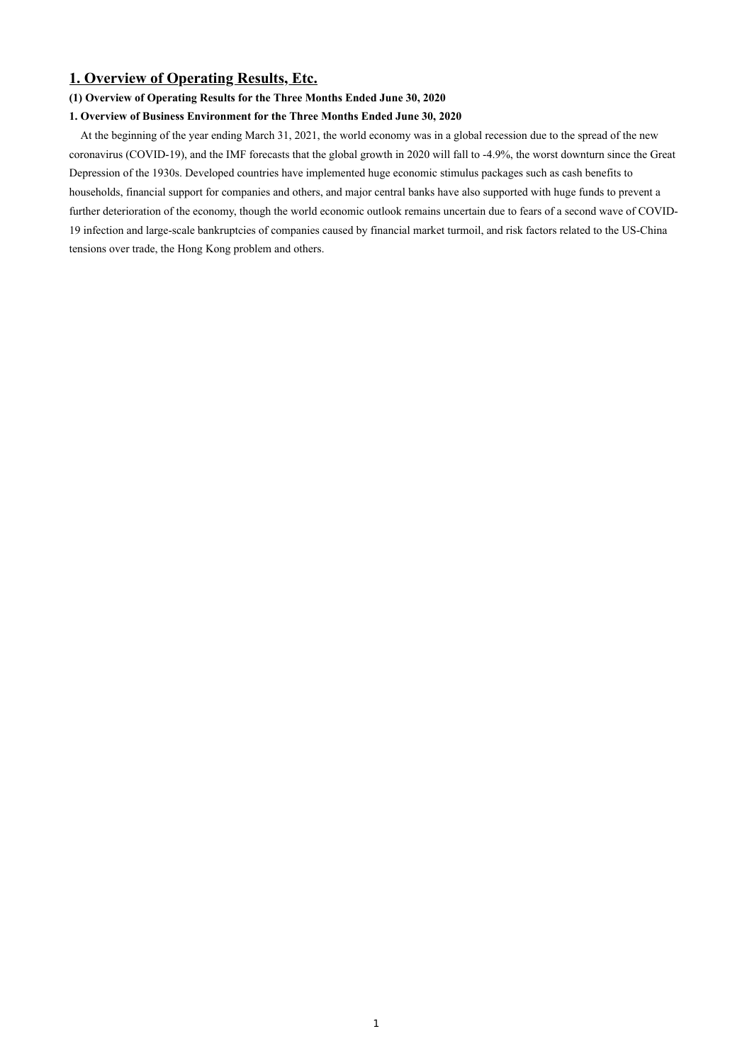## **1. Overview of Operating Results, Etc.**

### **(1) Overview of Operating Results for the Three Months Ended June 30, 2020**

### **1. Overview of Business Environment for the Three Months Ended June 30, 2020**

At the beginning of the year ending March 31, 2021, the world economy was in a global recession due to the spread of the new coronavirus (COVID-19), and the IMF forecasts that the global growth in 2020 will fall to -4.9%, the worst downturn since the Great Depression of the 1930s. Developed countries have implemented huge economic stimulus packages such as cash benefits to households, financial support for companies and others, and major central banks have also supported with huge funds to prevent a further deterioration of the economy, though the world economic outlook remains uncertain due to fears of a second wave of COVID-19 infection and large-scale bankruptcies of companies caused by financial market turmoil, and risk factors related to the US-China tensions over trade, the Hong Kong problem and others.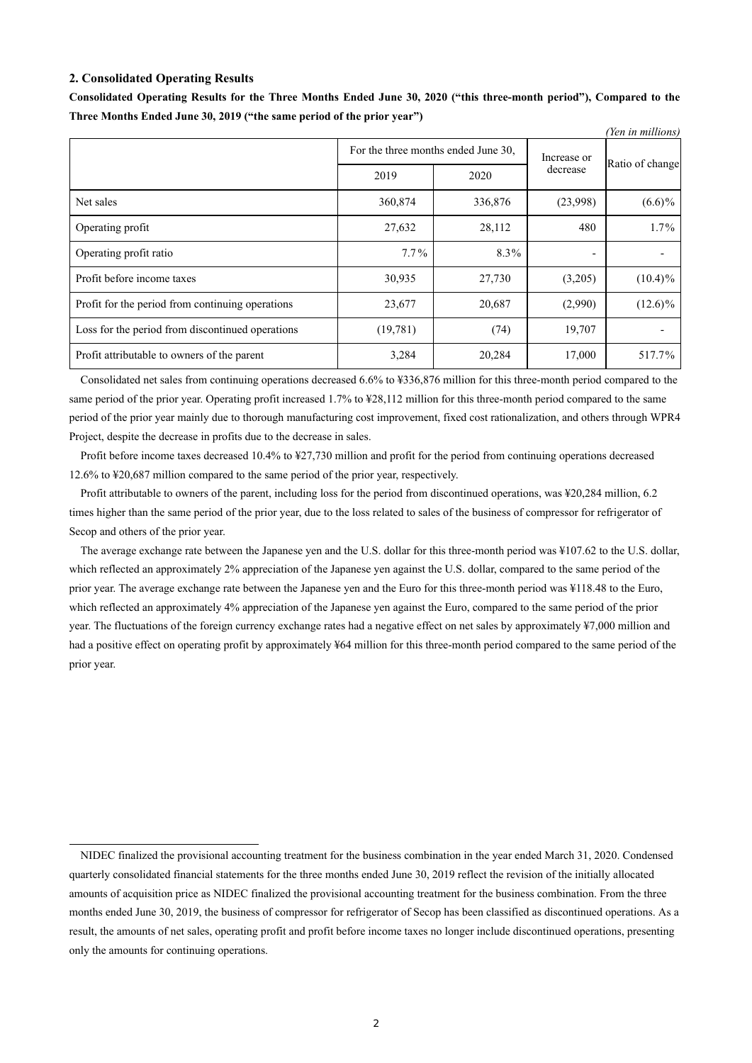### **2. Consolidated Operating Results**

|                                                  |                                     |         |                          | (Yen in millions) |
|--------------------------------------------------|-------------------------------------|---------|--------------------------|-------------------|
|                                                  | For the three months ended June 30, |         | Increase or              |                   |
|                                                  | 2019                                | 2020    | decrease                 | Ratio of change   |
| Net sales                                        | 360,874                             | 336,876 | (23,998)                 | $(6.6)\%$         |
| Operating profit                                 | 27,632                              | 28,112  | 480                      | $1.7\%$           |
| Operating profit ratio                           | $7.7\%$                             | 8.3%    | $\overline{\phantom{a}}$ |                   |
| Profit before income taxes                       | 30,935                              | 27,730  | (3,205)                  | $(10.4)\%$        |
| Profit for the period from continuing operations | 23,677                              | 20,687  | (2,990)                  | $(12.6)\%$        |
| Loss for the period from discontinued operations | (19,781)                            | (74)    | 19,707                   |                   |
| Profit attributable to owners of the parent      | 3,284                               | 20,284  | 17,000                   | 517.7%            |

**Consolidated Operating Results for the Three Months Ended June 30, 2020 ("this three-month period"), Compared to the Three Months Ended June 30, 2019 ("the same period of the prior year")**

Consolidated net sales from continuing operations decreased 6.6% to ¥336,876 million for this three-month period compared to the same period of the prior year. Operating profit increased 1.7% to ¥28,112 million for this three-month period compared to the same period of the prior year mainly due to thorough manufacturing cost improvement, fixed cost rationalization, and others through WPR4 Project, despite the decrease in profits due to the decrease in sales.

Profit before income taxes decreased 10.4% to ¥27,730 million and profit for the period from continuing operations decreased 12.6% to ¥20,687 million compared to the same period of the prior year, respectively.

Profit attributable to owners of the parent, including loss for the period from discontinued operations, was ¥20,284 million, 6.2 times higher than the same period of the prior year, due to the loss related to sales of the business of compressor for refrigerator of Secop and others of the prior year.

The average exchange rate between the Japanese yen and the U.S. dollar for this three-month period was ¥107.62 to the U.S. dollar, which reflected an approximately 2% appreciation of the Japanese yen against the U.S. dollar, compared to the same period of the prior year. The average exchange rate between the Japanese yen and the Euro for this three-month period was ¥118.48 to the Euro, which reflected an approximately 4% appreciation of the Japanese yen against the Euro, compared to the same period of the prior year. The fluctuations of the foreign currency exchange rates had a negative effect on net sales by approximately ¥7,000 million and had a positive effect on operating profit by approximately ¥64 million for this three-month period compared to the same period of the prior year.

NIDEC finalized the provisional accounting treatment for the business combination in the year ended March 31, 2020. Condensed quarterly consolidated financial statements for the three months ended June 30, 2019 reflect the revision of the initially allocated amounts of acquisition price as NIDEC finalized the provisional accounting treatment for the business combination. From the three months ended June 30, 2019, the business of compressor for refrigerator of Secop has been classified as discontinued operations. As a result, the amounts of net sales, operating profit and profit before income taxes no longer include discontinued operations, presenting only the amounts for continuing operations.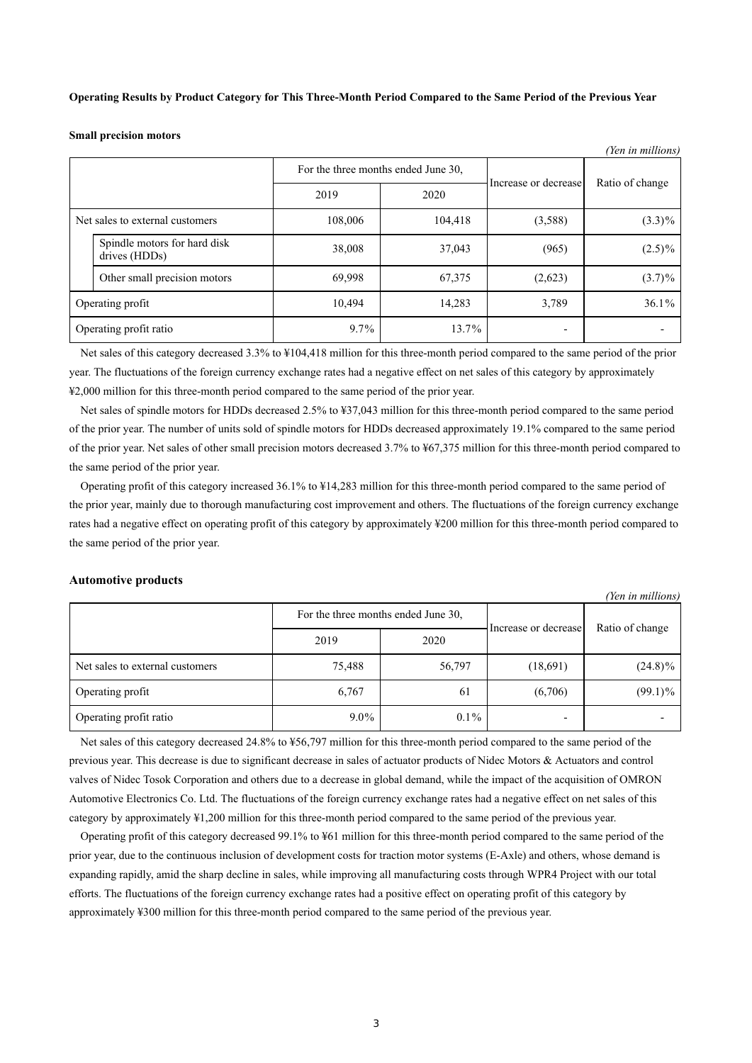**Operating Results by Product Category for This Three-Month Period Compared to the Same Period of the Previous Year**

**Small precision motors**

| <i>ren in muttons)</i> |                                               |                                     |         |                      |                 |  |
|------------------------|-----------------------------------------------|-------------------------------------|---------|----------------------|-----------------|--|
|                        |                                               | For the three months ended June 30, |         | Increase or decrease | Ratio of change |  |
|                        |                                               | 2019                                | 2020    |                      |                 |  |
|                        | Net sales to external customers               | 108,006                             | 104,418 | (3,588)              | $(3.3)\%$       |  |
|                        | Spindle motors for hard disk<br>drives (HDDs) | 38,008                              | 37,043  | (965)                | $(2.5)\%$       |  |
|                        | Other small precision motors                  | 69,998                              | 67,375  | (2,623)              | $(3.7)\%$       |  |
| Operating profit       |                                               | 10,494                              | 14,283  | 3,789                | 36.1%           |  |
| Operating profit ratio |                                               | $9.7\%$                             | 13.7%   |                      |                 |  |

 $\alpha$ <sup>*i*</sup> *(III)*  $\alpha$ 

Net sales of this category decreased 3.3% to ¥104,418 million for this three-month period compared to the same period of the prior year. The fluctuations of the foreign currency exchange rates had a negative effect on net sales of this category by approximately ¥2,000 million for this three-month period compared to the same period of the prior year.

Net sales of spindle motors for HDDs decreased 2.5% to ¥37,043 million for this three-month period compared to the same period of the prior year. The number of units sold of spindle motors for HDDs decreased approximately 19.1% compared to the same period of the prior year. Net sales of other small precision motors decreased 3.7% to ¥67,375 million for this three-month period compared to the same period of the prior year.

Operating profit of this category increased 36.1% to ¥14,283 million for this three-month period compared to the same period of the prior year, mainly due to thorough manufacturing cost improvement and others. The fluctuations of the foreign currency exchange rates had a negative effect on operating profit of this category by approximately ¥200 million for this three-month period compared to the same period of the prior year.

### **Automotive products**

|                                 |                                     |         |                      | (Yen in millions) |  |
|---------------------------------|-------------------------------------|---------|----------------------|-------------------|--|
|                                 | For the three months ended June 30, |         |                      |                   |  |
|                                 | 2019                                | 2020    | Increase or decrease | Ratio of change   |  |
| Net sales to external customers | 75,488                              | 56,797  | (18,691)             | $(24.8)\%$        |  |
| Operating profit                | 6,767                               | 61      | (6,706)              | $(99.1)\%$        |  |
| Operating profit ratio          | $9.0\%$                             | $0.1\%$ |                      |                   |  |

Net sales of this category decreased 24.8% to ¥56,797 million for this three-month period compared to the same period of the previous year. This decrease is due to significant decrease in sales of actuator products of Nidec Motors & Actuators and control valves of Nidec Tosok Corporation and others due to a decrease in global demand, while the impact of the acquisition of OMRON Automotive Electronics Co. Ltd. The fluctuations of the foreign currency exchange rates had a negative effect on net sales of this category by approximately ¥1,200 million for this three-month period compared to the same period of the previous year.

Operating profit of this category decreased 99.1% to ¥61 million for this three-month period compared to the same period of the prior year, due to the continuous inclusion of development costs for traction motor systems (E-Axle) and others, whose demand is expanding rapidly, amid the sharp decline in sales, while improving all manufacturing costs through WPR4 Project with our total efforts. The fluctuations of the foreign currency exchange rates had a positive effect on operating profit of this category by approximately ¥300 million for this three-month period compared to the same period of the previous year.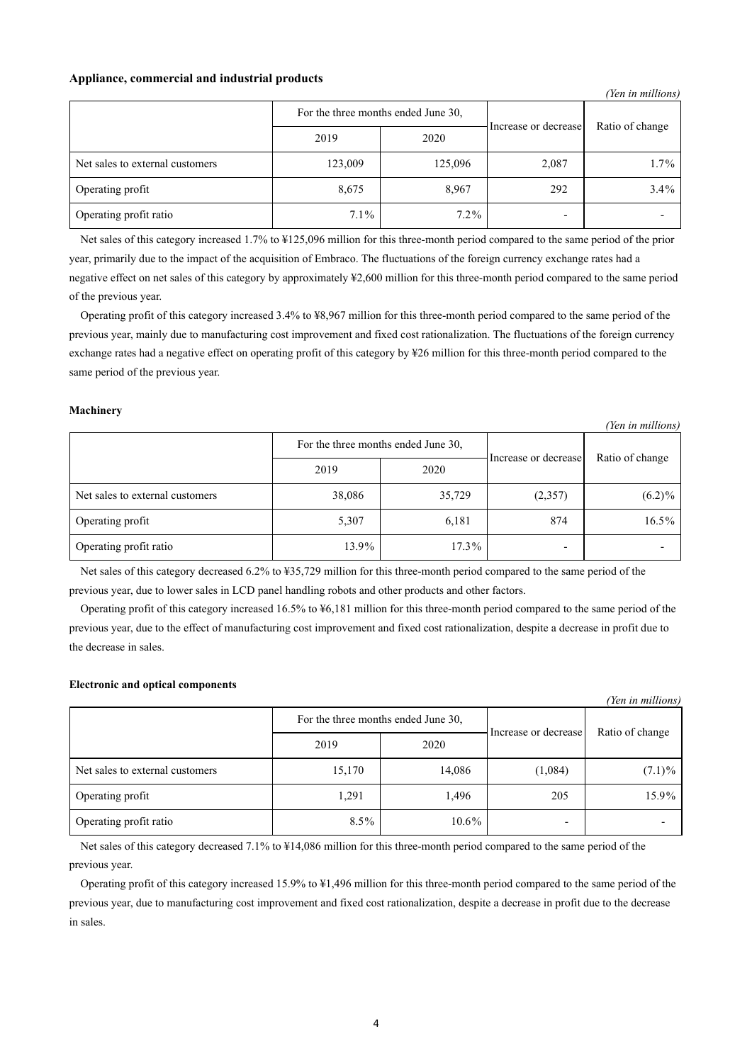### **Appliance, commercial and industrial products**

|                                 |                                     |         |                      | (Yen in millions) |
|---------------------------------|-------------------------------------|---------|----------------------|-------------------|
|                                 | For the three months ended June 30, |         | Increase or decrease | Ratio of change   |
|                                 | 2019                                | 2020    |                      |                   |
| Net sales to external customers | 123,009                             | 125,096 | 2,087                | $1.7\%$           |
| Operating profit                | 8,675                               | 8,967   | 292                  | $3.4\%$           |
| Operating profit ratio          | $7.1\%$                             | $7.2\%$ |                      |                   |

Net sales of this category increased 1.7% to ¥125,096 million for this three-month period compared to the same period of the prior year, primarily due to the impact of the acquisition of Embraco. The fluctuations of the foreign currency exchange rates had a negative effect on net sales of this category by approximately ¥2,600 million for this three-month period compared to the same period of the previous year.

Operating profit of this category increased 3.4% to ¥8,967 million for this three-month period compared to the same period of the previous year, mainly due to manufacturing cost improvement and fixed cost rationalization. The fluctuations of the foreign currency exchange rates had a negative effect on operating profit of this category by ¥26 million for this three-month period compared to the same period of the previous year.

### **Machinery**

|                                 |                                     |          |                      | (Yen in millions) |
|---------------------------------|-------------------------------------|----------|----------------------|-------------------|
|                                 | For the three months ended June 30, |          |                      | Ratio of change   |
|                                 | 2019                                | 2020     | Increase or decrease |                   |
| Net sales to external customers | 38,086                              | 35,729   | (2,357)              | $(6.2)\%$         |
| Operating profit                | 5,307                               | 6,181    | 874                  | $16.5\%$          |
| Operating profit ratio          | 13.9%                               | $17.3\%$ |                      |                   |

Net sales of this category decreased 6.2% to ¥35,729 million for this three-month period compared to the same period of the previous year, due to lower sales in LCD panel handling robots and other products and other factors.

Operating profit of this category increased 16.5% to ¥6,181 million for this three-month period compared to the same period of the previous year, due to the effect of manufacturing cost improvement and fixed cost rationalization, despite a decrease in profit due to the decrease in sales.

### **Electronic and optical components**

|                                 |                                     |          |                      | (Yen in millions) |
|---------------------------------|-------------------------------------|----------|----------------------|-------------------|
|                                 | For the three months ended June 30, |          | Increase or decrease |                   |
|                                 | 2019                                | 2020     |                      | Ratio of change   |
| Net sales to external customers | 15,170                              | 14,086   | (1,084)              | $(7.1)\%$         |
| Operating profit                | 1,291                               | 1,496    | 205                  | 15.9%             |
| Operating profit ratio          | $8.5\%$                             | $10.6\%$ |                      |                   |

Net sales of this category decreased 7.1% to ¥14,086 million for this three-month period compared to the same period of the previous year.

Operating profit of this category increased 15.9% to ¥1,496 million for this three-month period compared to the same period of the previous year, due to manufacturing cost improvement and fixed cost rationalization, despite a decrease in profit due to the decrease in sales.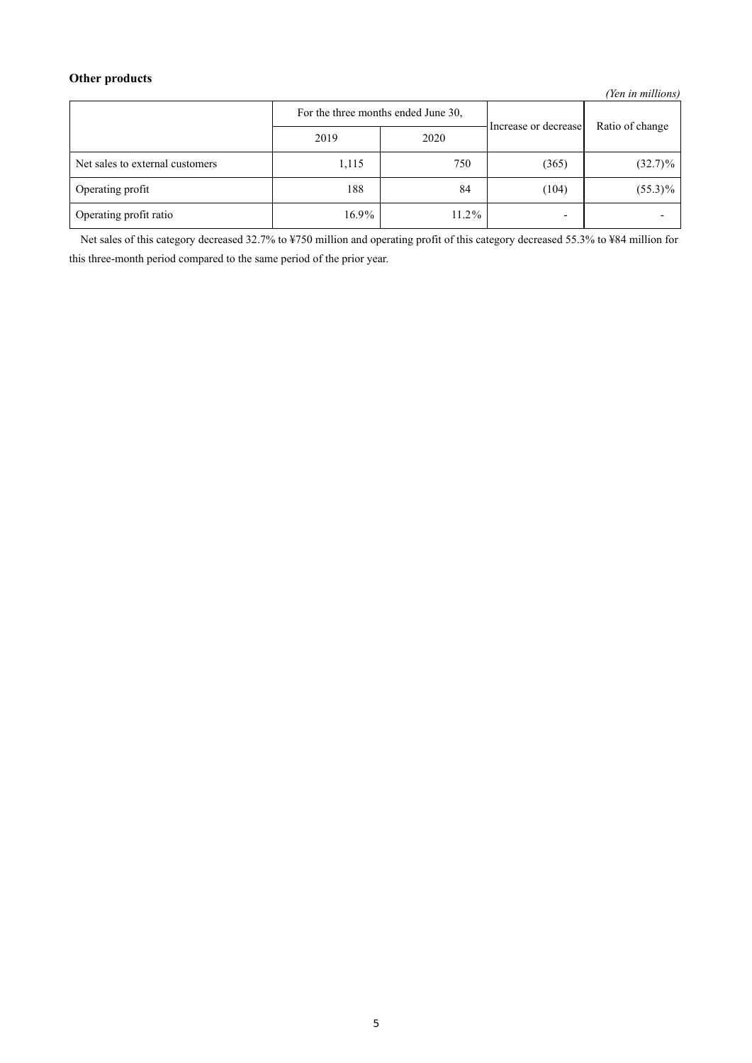## **Other products**

*(Yen in millions)*

|                                 | For the three months ended June 30, |          | Increase or decrease     | Ratio of change |
|---------------------------------|-------------------------------------|----------|--------------------------|-----------------|
|                                 | 2019                                | 2020     |                          |                 |
| Net sales to external customers | 1,115                               | 750      | (365)                    | $(32.7)\%$      |
| Operating profit                | 188                                 | 84       | (104)                    | $(55.3)\%$      |
| Operating profit ratio          | 16.9%                               | $11.2\%$ | $\overline{\phantom{0}}$ |                 |

Net sales of this category decreased 32.7% to ¥750 million and operating profit of this category decreased 55.3% to ¥84 million for this three-month period compared to the same period of the prior year.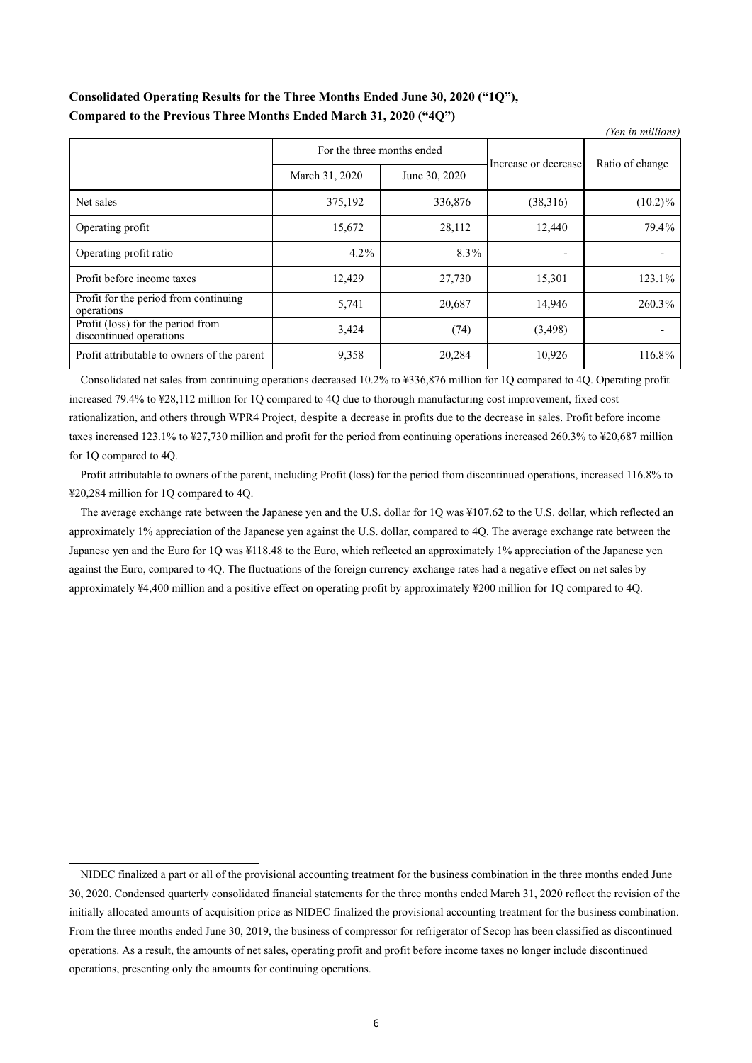## **Consolidated Operating Results for the Three Months Ended June 30, 2020 ("1Q"), Compared to the Previous Three Months Ended March 31, 2020 ("4Q")**

|                                                              |                            |               |                      | (Yen in millions) |
|--------------------------------------------------------------|----------------------------|---------------|----------------------|-------------------|
|                                                              | For the three months ended |               | Increase or decrease |                   |
|                                                              | March 31, 2020             | June 30, 2020 |                      | Ratio of change   |
| Net sales                                                    | 375,192                    | 336,876       | (38,316)             | $(10.2)\%$        |
| Operating profit                                             | 15,672                     | 28,112        | 12,440               | 79.4%             |
| Operating profit ratio                                       | $4.2\%$                    | 8.3%          |                      |                   |
| Profit before income taxes                                   | 12,429                     | 27,730        | 15,301               | 123.1%            |
| Profit for the period from continuing<br>operations          | 5,741                      | 20,687        | 14,946               | 260.3%            |
| Profit (loss) for the period from<br>discontinued operations | 3,424                      | (74)          | (3,498)              |                   |
| Profit attributable to owners of the parent                  | 9,358                      | 20,284        | 10,926               | 116.8%            |

Consolidated net sales from continuing operations decreased 10.2% to ¥336,876 million for 1Q compared to 4Q. Operating profit increased 79.4% to ¥28,112 million for 1Q compared to 4Q due to thorough manufacturing cost improvement, fixed cost rationalization, and others through WPR4 Project, despite a decrease in profits due to the decrease in sales. Profit before income taxes increased 123.1% to ¥27,730 million and profit for the period from continuing operations increased 260.3% to ¥20,687 million for 1Q compared to 4Q.

Profit attributable to owners of the parent, including Profit (loss) for the period from discontinued operations, increased 116.8% to ¥20,284 million for 1Q compared to 4Q.

The average exchange rate between the Japanese yen and the U.S. dollar for 1Q was ¥107.62 to the U.S. dollar, which reflected an approximately 1% appreciation of the Japanese yen against the U.S. dollar, compared to 4Q. The average exchange rate between the Japanese yen and the Euro for 1Q was ¥118.48 to the Euro, which reflected an approximately 1% appreciation of the Japanese yen against the Euro, compared to 4Q. The fluctuations of the foreign currency exchange rates had a negative effect on net sales by approximately ¥4,400 million and a positive effect on operating profit by approximately ¥200 million for 1Q compared to 4Q.

NIDEC finalized a part or all of the provisional accounting treatment for the business combination in the three months ended June 30, 2020. Condensed quarterly consolidated financial statements for the three months ended March 31, 2020 reflect the revision of the initially allocated amounts of acquisition price as NIDEC finalized the provisional accounting treatment for the business combination. From the three months ended June 30, 2019, the business of compressor for refrigerator of Secop has been classified as discontinued operations. As a result, the amounts of net sales, operating profit and profit before income taxes no longer include discontinued operations, presenting only the amounts for continuing operations.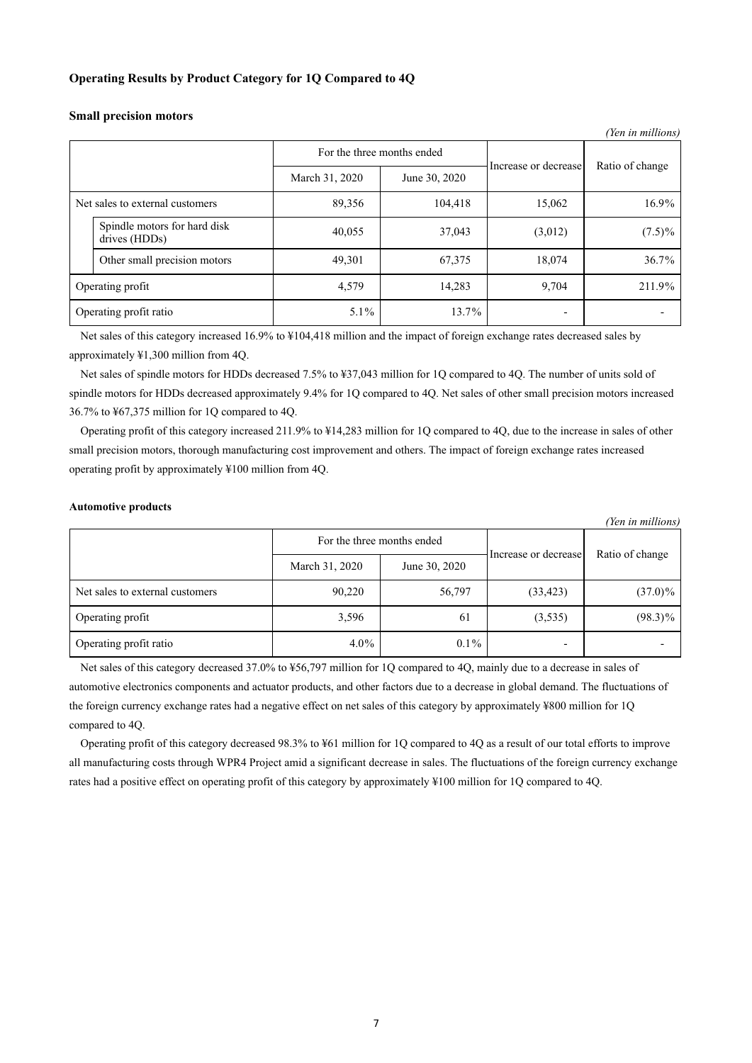### **Operating Results by Product Category for 1Q Compared to 4Q**

|                                               |                                 |         |                      | (Yen in millions) |
|-----------------------------------------------|---------------------------------|---------|----------------------|-------------------|
|                                               | For the three months ended      |         | Increase or decrease | Ratio of change   |
|                                               | March 31, 2020<br>June 30, 2020 |         |                      |                   |
| Net sales to external customers               | 89,356                          | 104,418 | 15,062               | 16.9%             |
| Spindle motors for hard disk<br>drives (HDDs) | 40,055                          | 37,043  | (3,012)              | $(7.5)\%$         |
| Other small precision motors                  | 49,301                          | 67,375  | 18,074               | 36.7%             |
| Operating profit                              | 4,579                           | 14,283  | 9,704                | 211.9%            |
| Operating profit ratio                        | $5.1\%$                         | 13.7%   | -                    |                   |

### **Small precision motors**

Net sales of this category increased 16.9% to ¥104,418 million and the impact of foreign exchange rates decreased sales by approximately ¥1,300 million from 4Q.

Net sales of spindle motors for HDDs decreased 7.5% to ¥37,043 million for 1Q compared to 4Q. The number of units sold of spindle motors for HDDs decreased approximately 9.4% for 1Q compared to 4Q. Net sales of other small precision motors increased 36.7% to ¥67,375 million for 1Q compared to 4Q.

Operating profit of this category increased 211.9% to ¥14,283 million for 1Q compared to 4Q, due to the increase in sales of other small precision motors, thorough manufacturing cost improvement and others. The impact of foreign exchange rates increased operating profit by approximately ¥100 million from 4Q.

### **Automotive products**

*(Yen in millions)*

|                                 | For the three months ended |               | Increase or decrease |                 |
|---------------------------------|----------------------------|---------------|----------------------|-----------------|
|                                 | March 31, 2020             | June 30, 2020 |                      | Ratio of change |
| Net sales to external customers | 90,220                     | 56,797        | (33, 423)            | $(37.0)\%$      |
| Operating profit                | 3,596                      | 61            | (3,535)              | $(98.3)\%$      |
| Operating profit ratio          | $4.0\%$                    | $0.1\%$       |                      |                 |

Net sales of this category decreased 37.0% to ¥56,797 million for 1Q compared to 4Q, mainly due to a decrease in sales of automotive electronics components and actuator products, and other factors due to a decrease in global demand. The fluctuations of the foreign currency exchange rates had a negative effect on net sales of this category by approximately ¥800 million for 1Q compared to 4Q.

Operating profit of this category decreased 98.3% to ¥61 million for 1Q compared to 4Q as a result of our total efforts to improve all manufacturing costs through WPR4 Project amid a significant decrease in sales. The fluctuations of the foreign currency exchange rates had a positive effect on operating profit of this category by approximately ¥100 million for 1Q compared to 4Q.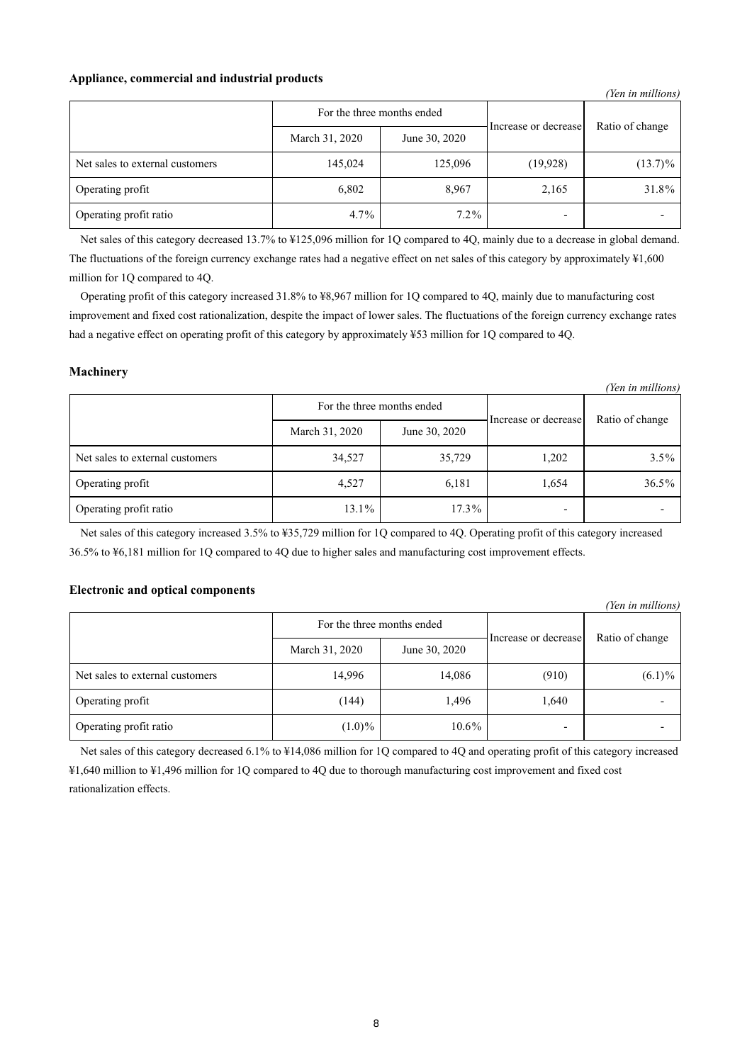### **Appliance, commercial and industrial products**

|                                 |                |                      |                 | (Yen in millions) |
|---------------------------------|----------------|----------------------|-----------------|-------------------|
| For the three months ended      |                | Increase or decrease | Ratio of change |                   |
|                                 | March 31, 2020 | June 30, 2020        |                 |                   |
| Net sales to external customers | 145,024        | 125,096              | (19, 928)       | $(13.7)\%$        |
| Operating profit                | 6,802          | 8,967                | 2,165           | 31.8%             |
| Operating profit ratio          | $4.7\%$        | $7.2\%$              |                 |                   |

Net sales of this category decreased 13.7% to ¥125,096 million for 1Q compared to 4Q, mainly due to a decrease in global demand. The fluctuations of the foreign currency exchange rates had a negative effect on net sales of this category by approximately  $\frac{1}{2}1,600$ million for 1Q compared to 4Q.

Operating profit of this category increased 31.8% to ¥8,967 million for 1Q compared to 4Q, mainly due to manufacturing cost improvement and fixed cost rationalization, despite the impact of lower sales. The fluctuations of the foreign currency exchange rates had a negative effect on operating profit of this category by approximately ¥53 million for 1Q compared to 4Q.

### **Machinery**

|                                 |                            |               |                      | (Yen in millions) |
|---------------------------------|----------------------------|---------------|----------------------|-------------------|
|                                 | For the three months ended |               |                      |                   |
|                                 | March 31, 2020             | June 30, 2020 | Increase or decrease | Ratio of change   |
| Net sales to external customers | 34,527                     | 35,729        | 1,202                | $3.5\%$           |
| Operating profit                | 4,527                      | 6,181         | 1,654                | 36.5%             |
| Operating profit ratio          | 13.1%                      | $17.3\%$      |                      |                   |

Net sales of this category increased 3.5% to ¥35,729 million for 1Q compared to 4Q. Operating profit of this category increased 36.5% to ¥6,181 million for 1Q compared to 4Q due to higher sales and manufacturing cost improvement effects.

### **Electronic and optical components**

|                                 |                            |               |                      | (Yen in millions) |
|---------------------------------|----------------------------|---------------|----------------------|-------------------|
|                                 | For the three months ended |               |                      |                   |
|                                 | March 31, 2020             | June 30, 2020 | Increase or decrease | Ratio of change   |
| Net sales to external customers | 14,996                     | 14,086        | (910)                | $(6.1)\%$         |
| Operating profit                | (144)                      | 1,496         | 1,640                |                   |
| Operating profit ratio          | $(1.0)\%$                  | $10.6\%$      |                      |                   |

Net sales of this category decreased 6.1% to ¥14,086 million for 1Q compared to 4Q and operating profit of this category increased ¥1,640 million to ¥1,496 million for 1Q compared to 4Q due to thorough manufacturing cost improvement and fixed cost rationalization effects.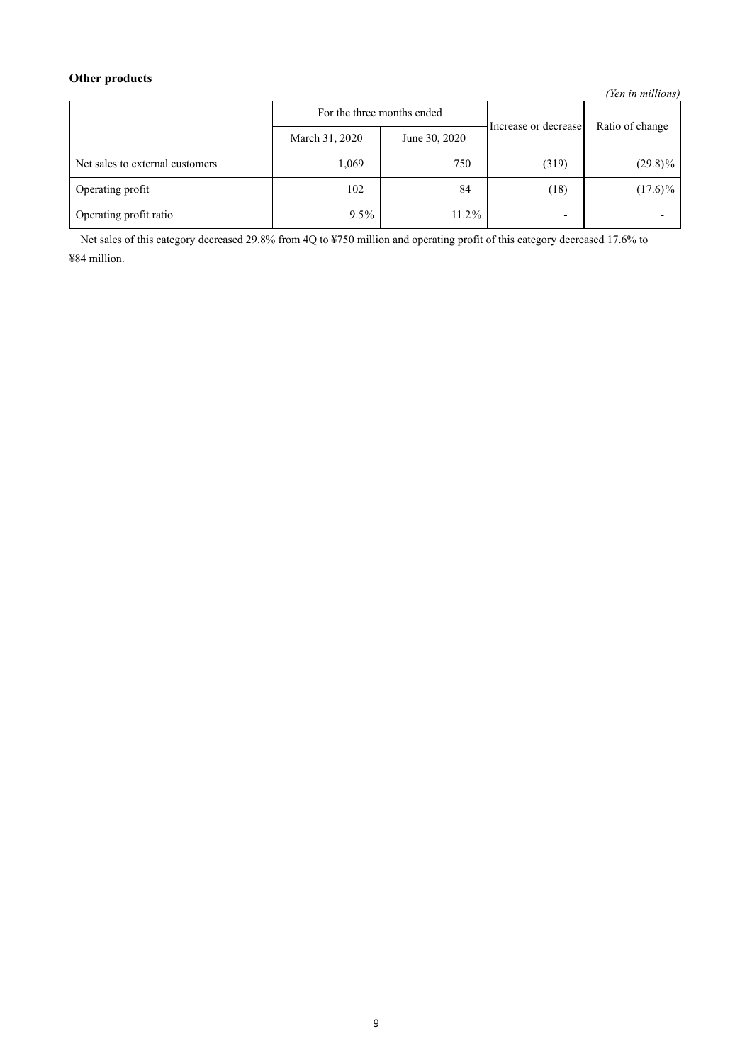# **Other products**

*(Yen in millions)*

|                                 | For the three months ended |               | Increase or decrease     | Ratio of change |
|---------------------------------|----------------------------|---------------|--------------------------|-----------------|
|                                 | March 31, 2020             | June 30, 2020 |                          |                 |
| Net sales to external customers | 1,069                      | 750           | (319)                    | $(29.8)\%$      |
| Operating profit                | 102                        | 84            | (18)                     | $(17.6)\%$      |
| Operating profit ratio          | $9.5\%$                    | $11.2\%$      | $\overline{\phantom{a}}$ |                 |

Net sales of this category decreased 29.8% from 4Q to ¥750 million and operating profit of this category decreased 17.6% to ¥84 million.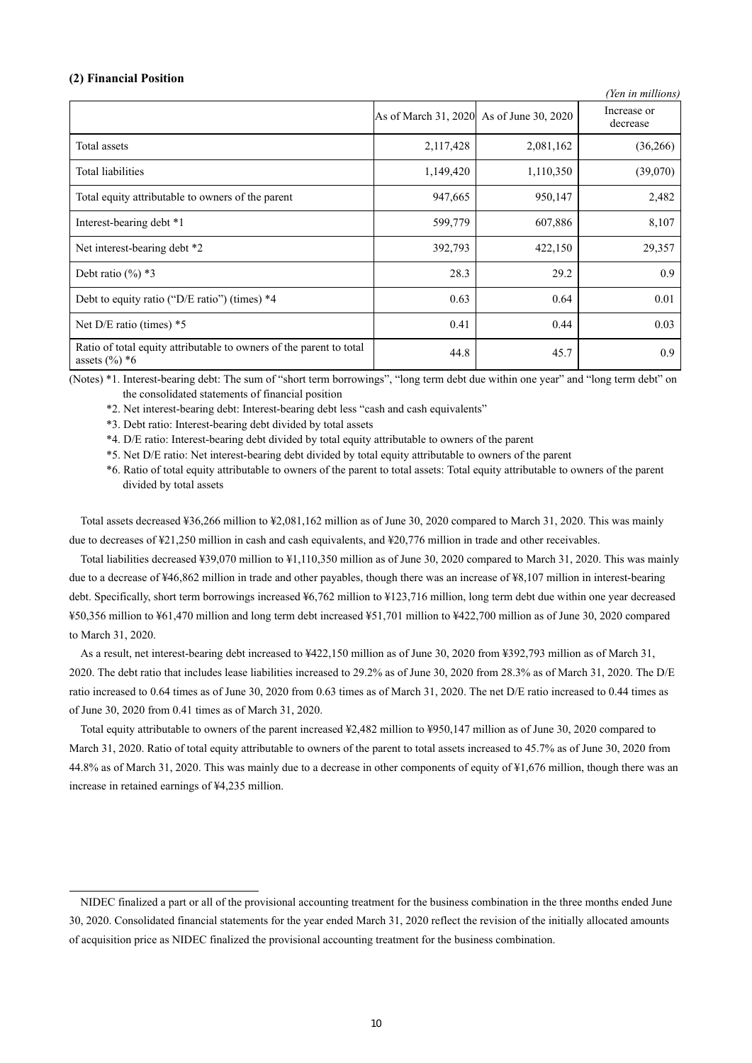### **(2) Financial Position**

|                                                                                         |                                          |           | (Yen in millions)       |
|-----------------------------------------------------------------------------------------|------------------------------------------|-----------|-------------------------|
|                                                                                         | As of March 31, 2020 As of June 30, 2020 |           | Increase or<br>decrease |
| Total assets                                                                            | 2,117,428                                | 2,081,162 | (36,266)                |
| Total liabilities                                                                       | 1,149,420                                | 1,110,350 | (39,070)                |
| Total equity attributable to owners of the parent                                       | 947,665                                  | 950,147   | 2,482                   |
| Interest-bearing debt *1                                                                | 599,779                                  | 607,886   | 8,107                   |
| Net interest-bearing debt *2                                                            | 392,793                                  | 422,150   | 29,357                  |
| Debt ratio $(\%$ ) *3                                                                   | 28.3                                     | 29.2      | 0.9                     |
| Debt to equity ratio ("D/E ratio") (times) *4                                           | 0.63                                     | 0.64      | 0.01                    |
| Net $D/E$ ratio (times) $*5$                                                            | 0.41                                     | 0.44      | 0.03                    |
| Ratio of total equity attributable to owners of the parent to total<br>assets $(\%)^*6$ | 44.8                                     | 45.7      | 0.9                     |

(Notes) \*1. Interest-bearing debt: The sum of "short term borrowings", "long term debt due within one year" and "long term debt" on the consolidated statements of financial position

\*2. Net interest-bearing debt: Interest-bearing debt less "cash and cash equivalents"

\*3. Debt ratio: Interest-bearing debt divided by total assets

\*4. D/E ratio: Interest-bearing debt divided by total equity attributable to owners of the parent

\*5. Net D/E ratio: Net interest-bearing debt divided by total equity attributable to owners of the parent

\*6. Ratio of total equity attributable to owners of the parent to total assets: Total equity attributable to owners of the parent divided by total assets

Total assets decreased ¥36,266 million to ¥2,081,162 million as of June 30, 2020 compared to March 31, 2020. This was mainly due to decreases of ¥21,250 million in cash and cash equivalents, and ¥20,776 million in trade and other receivables.

Total liabilities decreased ¥39,070 million to ¥1,110,350 million as of June 30, 2020 compared to March 31, 2020. This was mainly due to a decrease of ¥46,862 million in trade and other payables, though there was an increase of ¥8,107 million in interest-bearing debt. Specifically, short term borrowings increased ¥6,762 million to ¥123,716 million, long term debt due within one year decreased ¥50,356 million to ¥61,470 million and long term debt increased ¥51,701 million to ¥422,700 million as of June 30, 2020 compared to March 31, 2020.

As a result, net interest-bearing debt increased to ¥422,150 million as of June 30, 2020 from ¥392,793 million as of March 31, 2020. The debt ratio that includes lease liabilities increased to 29.2% as of June 30, 2020 from 28.3% as of March 31, 2020. The D/E ratio increased to 0.64 times as of June 30, 2020 from 0.63 times as of March 31, 2020. The net D/E ratio increased to 0.44 times as of June 30, 2020 from 0.41 times as of March 31, 2020.

Total equity attributable to owners of the parent increased ¥2,482 million to ¥950,147 million as of June 30, 2020 compared to March 31, 2020. Ratio of total equity attributable to owners of the parent to total assets increased to 45.7% as of June 30, 2020 from 44.8% as of March 31, 2020. This was mainly due to a decrease in other components of equity of ¥1,676 million, though there was an increase in retained earnings of ¥4,235 million.

NIDEC finalized a part or all of the provisional accounting treatment for the business combination in the three months ended June 30, 2020. Consolidated financial statements for the year ended March 31, 2020 reflect the revision of the initially allocated amounts of acquisition price as NIDEC finalized the provisional accounting treatment for the business combination.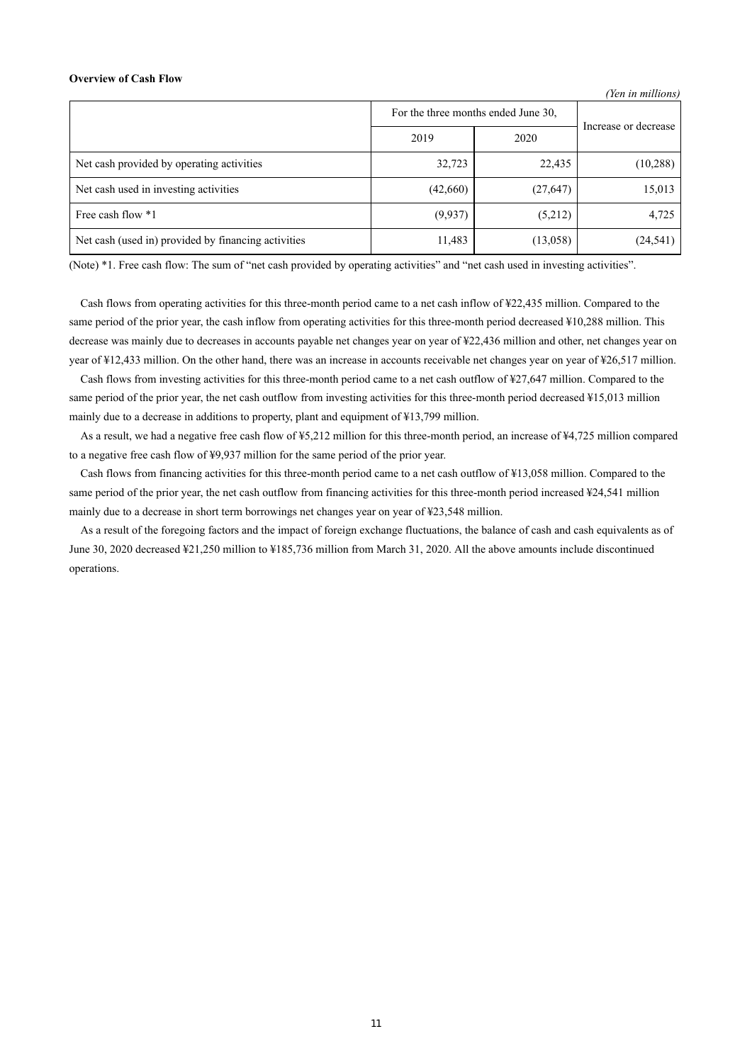### **Overview of Cash Flow**

|                                                     |                                     |           | (Yen in millions)    |
|-----------------------------------------------------|-------------------------------------|-----------|----------------------|
|                                                     | For the three months ended June 30, |           | Increase or decrease |
|                                                     | 2019                                | 2020      |                      |
| Net cash provided by operating activities           | 32,723                              | 22,435    | (10, 288)            |
| Net cash used in investing activities               | (42, 660)                           | (27, 647) | 15,013               |
| Free cash flow *1                                   | (9,937)                             | (5,212)   | 4,725                |
| Net cash (used in) provided by financing activities | 11,483                              | (13,058)  | (24, 541)            |

(Note) \*1. Free cash flow: The sum of "net cash provided by operating activities" and "net cash used in investing activities".

Cash flows from operating activities for this three-month period came to a net cash inflow of ¥22,435 million. Compared to the same period of the prior year, the cash inflow from operating activities for this three-month period decreased ¥10,288 million. This decrease was mainly due to decreases in accounts payable net changes year on year of ¥22,436 million and other, net changes year on year of ¥12,433 million. On the other hand, there was an increase in accounts receivable net changes year on year of ¥26,517 million.

Cash flows from investing activities for this three-month period came to a net cash outflow of ¥27,647 million. Compared to the same period of the prior year, the net cash outflow from investing activities for this three-month period decreased ¥15,013 million mainly due to a decrease in additions to property, plant and equipment of ¥13,799 million.

As a result, we had a negative free cash flow of ¥5,212 million for this three-month period, an increase of ¥4,725 million compared to a negative free cash flow of ¥9,937 million for the same period of the prior year.

Cash flows from financing activities for this three-month period came to a net cash outflow of ¥13,058 million. Compared to the same period of the prior year, the net cash outflow from financing activities for this three-month period increased ¥24,541 million mainly due to a decrease in short term borrowings net changes year on year of ¥23,548 million.

As a result of the foregoing factors and the impact of foreign exchange fluctuations, the balance of cash and cash equivalents as of June 30, 2020 decreased ¥21,250 million to ¥185,736 million from March 31, 2020. All the above amounts include discontinued operations.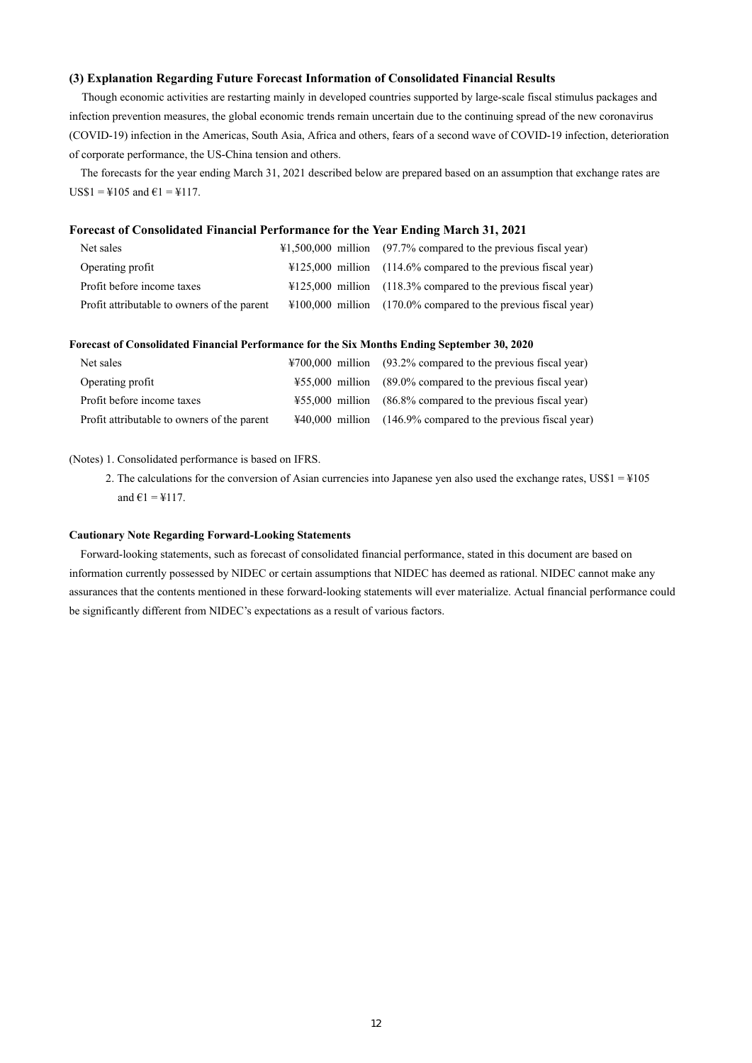### **(3) Explanation Regarding Future Forecast Information of Consolidated Financial Results**

Though economic activities are restarting mainly in developed countries supported by large-scale fiscal stimulus packages and infection prevention measures, the global economic trends remain uncertain due to the continuing spread of the new coronavirus (COVID-19) infection in the Americas, South Asia, Africa and others, fears of a second wave of COVID-19 infection, deterioration of corporate performance, the US-China tension and others.

The forecasts for the year ending March 31, 2021 described below are prepared based on an assumption that exchange rates are  $USS1 = 4105$  and  $61 = 4117$ .

### **Forecast of Consolidated Financial Performance for the Year Ending March 31, 2021**

| Net sales                                   | $\text{\#1,500,000}$ million (97.7% compared to the previous fiscal year) |
|---------------------------------------------|---------------------------------------------------------------------------|
| Operating profit                            | $\text{\#125,000}$ million (114.6% compared to the previous fiscal year)  |
| Profit before income taxes                  | $\text{\#125,000}$ million (118.3% compared to the previous fiscal year)  |
| Profit attributable to owners of the parent | $\text{\#100,000}$ million (170.0% compared to the previous fiscal year)  |

### **Forecast of Consolidated Financial Performance for the Six Months Ending September 30, 2020**

| Net sales                                   | $\text{\#}700,000$ million (93.2% compared to the previous fiscal year) |
|---------------------------------------------|-------------------------------------------------------------------------|
| Operating profit                            | $\text{\#55,000}$ million (89.0% compared to the previous fiscal year)  |
| Profit before income taxes                  | ¥55,000 million (86.8% compared to the previous fiscal year)            |
| Profit attributable to owners of the parent | $\text{\#40,000}$ million (146.9% compared to the previous fiscal year) |

#### (Notes) 1. Consolidated performance is based on IFRS.

2. The calculations for the conversion of Asian currencies into Japanese yen also used the exchange rates, US\$1 = ¥105 and  $61 = 117$ .

### **Cautionary Note Regarding Forward-Looking Statements**

Forward-looking statements, such as forecast of consolidated financial performance, stated in this document are based on information currently possessed by NIDEC or certain assumptions that NIDEC has deemed as rational. NIDEC cannot make any assurances that the contents mentioned in these forward-looking statements will ever materialize. Actual financial performance could be significantly different from NIDEC's expectations as a result of various factors.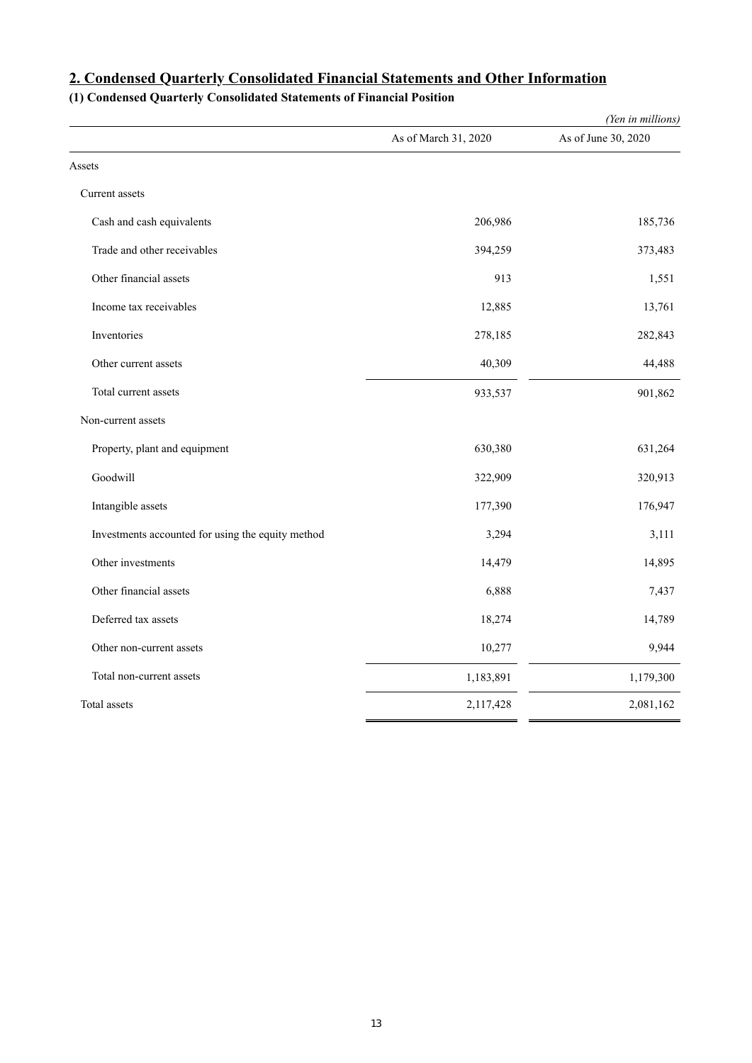|                                                   |                      | (Yen in millions)   |
|---------------------------------------------------|----------------------|---------------------|
|                                                   | As of March 31, 2020 | As of June 30, 2020 |
| Assets                                            |                      |                     |
| Current assets                                    |                      |                     |
| Cash and cash equivalents                         | 206,986              | 185,736             |
| Trade and other receivables                       | 394,259              | 373,483             |
| Other financial assets                            | 913                  | 1,551               |
| Income tax receivables                            | 12,885               | 13,761              |
| Inventories                                       | 278,185              | 282,843             |
| Other current assets                              | 40,309               | 44,488              |
| Total current assets                              | 933,537              | 901,862             |
| Non-current assets                                |                      |                     |
| Property, plant and equipment                     | 630,380              | 631,264             |
| Goodwill                                          | 322,909              | 320,913             |
| Intangible assets                                 | 177,390              | 176,947             |
| Investments accounted for using the equity method | 3,294                | 3,111               |
| Other investments                                 | 14,479               | 14,895              |
| Other financial assets                            | 6,888                | 7,437               |
| Deferred tax assets                               | 18,274               | 14,789              |
| Other non-current assets                          | 10,277               | 9,944               |
| Total non-current assets                          | 1,183,891            | 1,179,300           |
| Total assets                                      | 2,117,428            | 2,081,162           |

# **2. Condensed Quarterly Consolidated Financial Statements and Other Information**

**(1) Condensed Quarterly Consolidated Statements of Financial Position**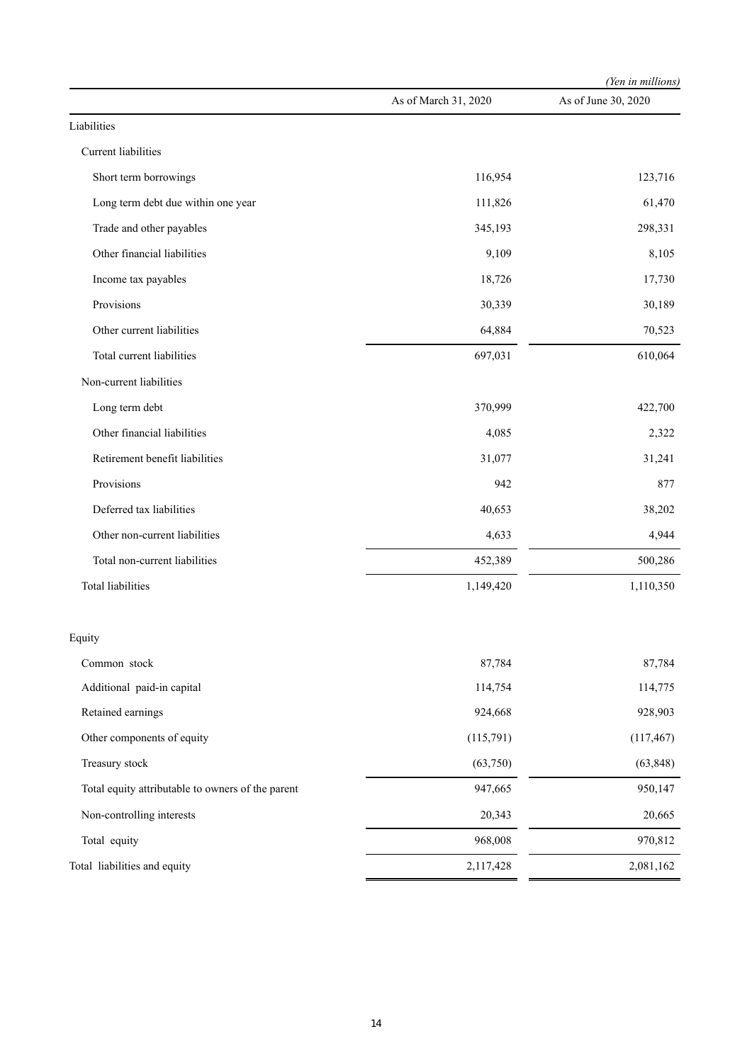|                                                   |                      | (Yen in millions)   |  |
|---------------------------------------------------|----------------------|---------------------|--|
|                                                   | As of March 31, 2020 | As of June 30, 2020 |  |
| Liabilities                                       |                      |                     |  |
| Current liabilities                               |                      |                     |  |
| Short term borrowings                             | 116,954              | 123,716             |  |
| Long term debt due within one year                | 111,826              | 61,470              |  |
| Trade and other payables                          | 345,193              | 298,331             |  |
| Other financial liabilities                       | 9,109                | 8,105               |  |
| Income tax payables                               | 18,726               | 17,730              |  |
| Provisions                                        | 30,339               | 30,189              |  |
| Other current liabilities                         | 64,884               | 70,523              |  |
| Total current liabilities                         | 697,031              | 610,064             |  |
| Non-current liabilities                           |                      |                     |  |
| Long term debt                                    | 370,999              | 422,700             |  |
| Other financial liabilities                       | 4,085                | 2,322               |  |
| Retirement benefit liabilities                    | 31,077               | 31,241              |  |
| Provisions                                        | 942                  | 877                 |  |
| Deferred tax liabilities                          | 40,653               | 38,202              |  |
| Other non-current liabilities                     | 4,633                | 4,944               |  |
| Total non-current liabilities                     | 452,389              | 500,286             |  |
| <b>Total liabilities</b>                          | 1,149,420            | 1,110,350           |  |
| Equity                                            |                      |                     |  |
| Common stock                                      | 87,784               | 87,784              |  |
| Additional paid-in capital                        | 114,754              | 114,775             |  |
| Retained earnings                                 | 924,668              | 928,903             |  |
| Other components of equity                        | (115,791)            | (117, 467)          |  |
| Treasury stock                                    | (63,750)             | (63, 848)           |  |
| Total equity attributable to owners of the parent | 947,665              | 950,147             |  |
| Non-controlling interests                         | 20,343               | 20,665              |  |
| Total equity                                      | 968,008              | 970,812             |  |
| Total liabilities and equity                      | 2,117,428            | 2,081,162           |  |
|                                                   |                      |                     |  |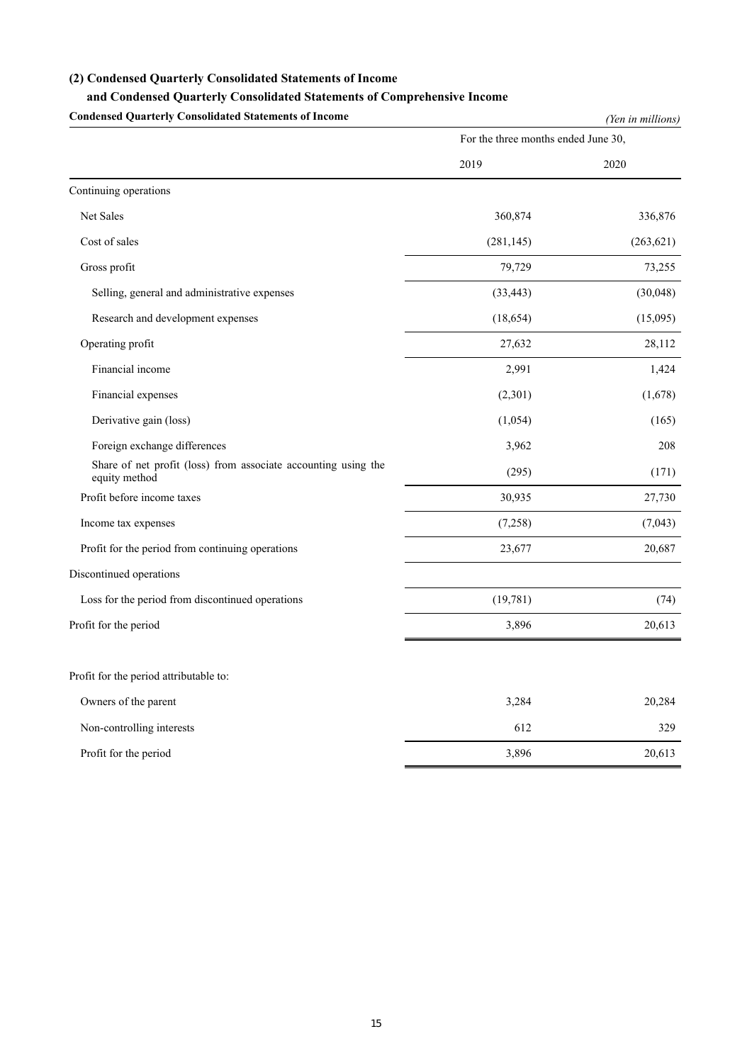### **(2) Condensed Quarterly Consolidated Statements of Income**

### **and Condensed Quarterly Consolidated Statements of Comprehensive Income**

**Condensed Quarterly Consolidated Statements of Income** *(Yen in millions)* For the three months ended June 30, 2019 2020 Continuing operations Net Sales 360,874 336,876  $Cost of sales$  (281,145) (263,621) Gross profit 79,729 73,255 Selling, general and administrative expenses (33,443) (30,048) Research and development expenses (18,654) (15,095) Operating profit 27,632 28,112 Financial income 2,991 1,424 Financial expenses  $(2,301)$   $(1,678)$ Derivative gain (loss) (1,054) (1,054) (1,054) (1,055) Foreign exchange differences 208 Share of net profit (loss) from associate accounting using the (295) (171) (171) Profit before income taxes 30,935 27,730 Income tax expenses  $(7,258)$   $(7,043)$ Profit for the period from continuing operations 23,677 20,687 Discontinued operations Loss for the period from discontinued operations (19,781) (74) Profit for the period 20,613 Profit for the period attributable to: Owners of the parent 20,284 20,284 20,284 Non-controlling interests 329 Profit for the period 20,613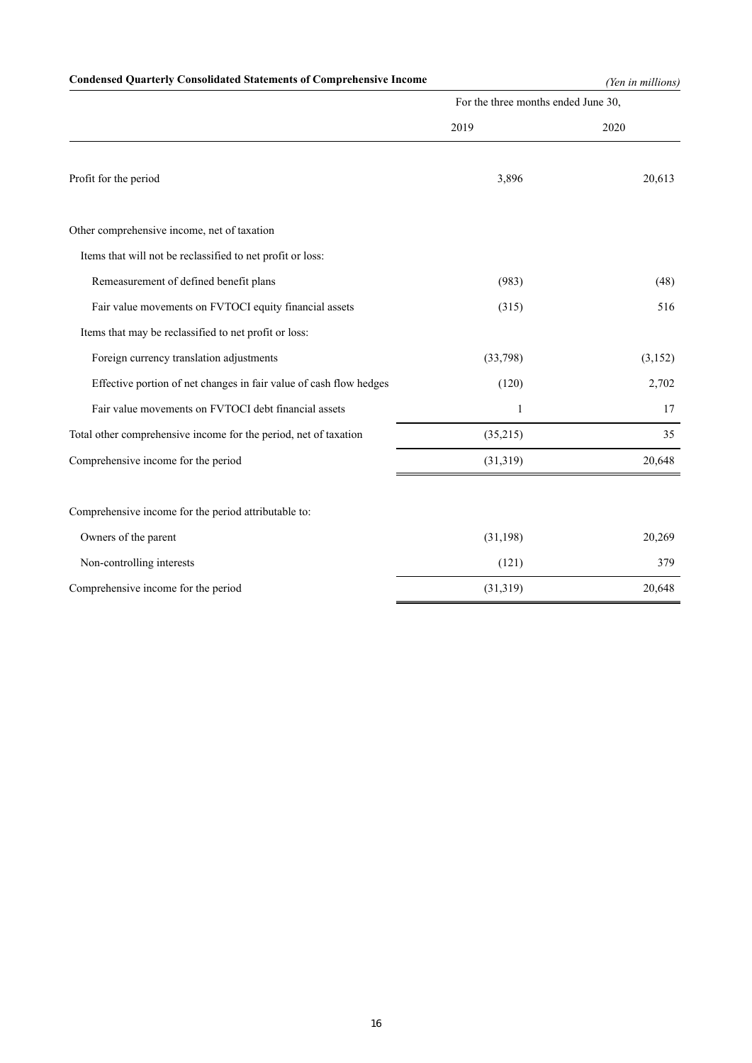# **Condensed Quarterly Consolidated Statements of Comprehensive Income** *(Yen in millions)*

|                                                                    | For the three months ended June 30, |          |  |
|--------------------------------------------------------------------|-------------------------------------|----------|--|
|                                                                    | 2019                                | 2020     |  |
| Profit for the period                                              | 3,896                               | 20,613   |  |
| Other comprehensive income, net of taxation                        |                                     |          |  |
| Items that will not be reclassified to net profit or loss:         |                                     |          |  |
| Remeasurement of defined benefit plans                             | (983)                               | (48)     |  |
| Fair value movements on FVTOCI equity financial assets             | (315)                               | 516      |  |
| Items that may be reclassified to net profit or loss:              |                                     |          |  |
| Foreign currency translation adjustments                           | (33,798)                            | (3, 152) |  |
| Effective portion of net changes in fair value of cash flow hedges | (120)                               | 2,702    |  |
| Fair value movements on FVTOCI debt financial assets               | 1                                   | 17       |  |
| Total other comprehensive income for the period, net of taxation   | (35,215)                            | 35       |  |
| Comprehensive income for the period                                | (31,319)                            | 20,648   |  |
| Comprehensive income for the period attributable to:               |                                     |          |  |
| Owners of the parent                                               | (31, 198)                           | 20,269   |  |
| Non-controlling interests                                          | (121)                               | 379      |  |
| Comprehensive income for the period                                | (31, 319)                           | 20,648   |  |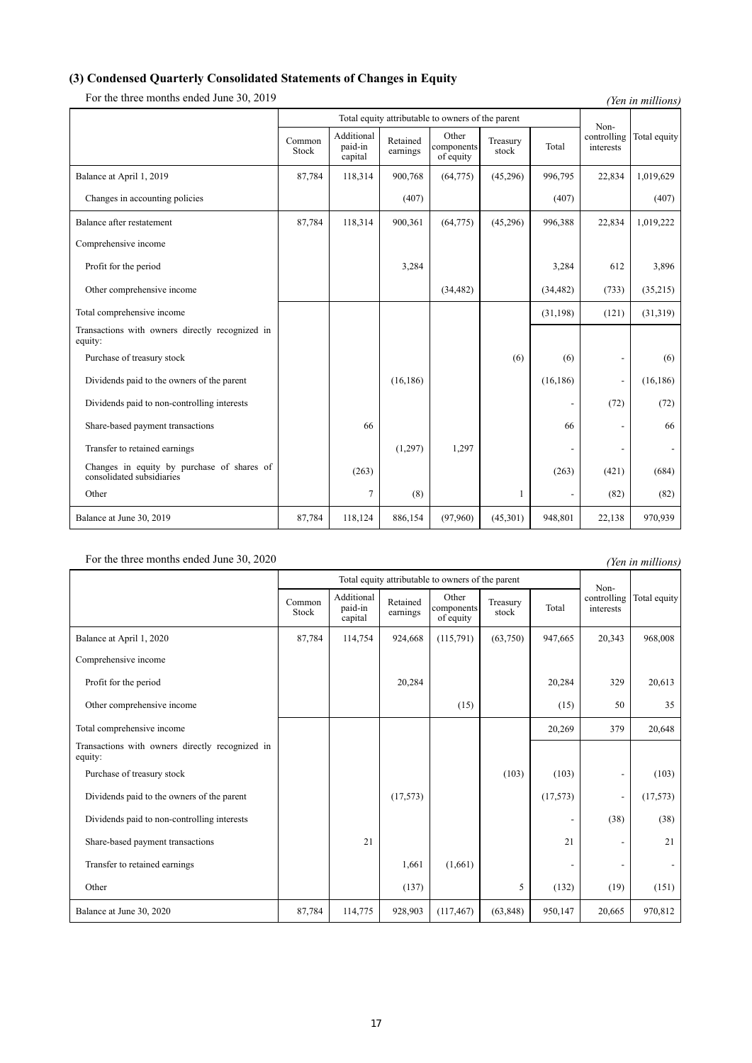# **(3) Condensed Quarterly Consolidated Statements of Changes in Equity**

For the three months ended June 30, 2019 *(Yen in millions) (Yen in millions)* 

|                                                                         |                 |                                  |                      | Total equity attributable to owners of the parent |                   |                          | Non-                     |              |
|-------------------------------------------------------------------------|-----------------|----------------------------------|----------------------|---------------------------------------------------|-------------------|--------------------------|--------------------------|--------------|
|                                                                         | Common<br>Stock | Additional<br>paid-in<br>capital | Retained<br>earnings | Other<br>components<br>of equity                  | Treasury<br>stock | Total                    | controlling<br>interests | Total equity |
| Balance at April 1, 2019                                                | 87,784          | 118,314                          | 900,768              | (64, 775)                                         | (45,296)          | 996,795                  | 22,834                   | 1,019,629    |
| Changes in accounting policies                                          |                 |                                  | (407)                |                                                   |                   | (407)                    |                          | (407)        |
| Balance after restatement                                               | 87,784          | 118,314                          | 900,361              | (64, 775)                                         | (45,296)          | 996,388                  | 22,834                   | 1,019,222    |
| Comprehensive income                                                    |                 |                                  |                      |                                                   |                   |                          |                          |              |
| Profit for the period                                                   |                 |                                  | 3,284                |                                                   |                   | 3,284                    | 612                      | 3,896        |
| Other comprehensive income                                              |                 |                                  |                      | (34, 482)                                         |                   | (34, 482)                | (733)                    | (35,215)     |
| Total comprehensive income                                              |                 |                                  |                      |                                                   |                   | (31, 198)                | (121)                    | (31,319)     |
| Transactions with owners directly recognized in<br>equity:              |                 |                                  |                      |                                                   |                   |                          |                          |              |
| Purchase of treasury stock                                              |                 |                                  |                      |                                                   | (6)               | (6)                      |                          | (6)          |
| Dividends paid to the owners of the parent                              |                 |                                  | (16, 186)            |                                                   |                   | (16, 186)                |                          | (16, 186)    |
| Dividends paid to non-controlling interests                             |                 |                                  |                      |                                                   |                   | $\overline{\phantom{0}}$ | (72)                     | (72)         |
| Share-based payment transactions                                        |                 | 66                               |                      |                                                   |                   | 66                       |                          | 66           |
| Transfer to retained earnings                                           |                 |                                  | (1,297)              | 1,297                                             |                   |                          |                          |              |
| Changes in equity by purchase of shares of<br>consolidated subsidiaries |                 | (263)                            |                      |                                                   |                   | (263)                    | (421)                    | (684)        |
| Other                                                                   |                 | 7                                | (8)                  |                                                   |                   |                          | (82)                     | (82)         |
| Balance at June 30, 2019                                                | 87,784          | 118,124                          | 886,154              | (97,960)                                          | (45,301)          | 948,801                  | 22,138                   | 970,939      |

# For the three months ended June 30, 2020 *(Yen in millions) (Yen in millions)*

|                                                            |                 | Total equity attributable to owners of the parent |                      | Non-                             |                   |          |        |                             |
|------------------------------------------------------------|-----------------|---------------------------------------------------|----------------------|----------------------------------|-------------------|----------|--------|-----------------------------|
|                                                            | Common<br>Stock | Additional<br>paid-in<br>capital                  | Retained<br>earnings | Other<br>components<br>of equity | Treasury<br>stock | Total    |        | controlling<br>Total equity |
| Balance at April 1, 2020                                   | 87,784          | 114,754                                           | 924,668              | (115,791)                        | (63,750)          | 947,665  | 20,343 | 968,008                     |
| Comprehensive income                                       |                 |                                                   |                      |                                  |                   |          |        |                             |
| Profit for the period                                      |                 |                                                   | 20,284               |                                  |                   | 20,284   | 329    | 20,613                      |
| Other comprehensive income                                 |                 |                                                   |                      | (15)                             |                   | (15)     | 50     | 35                          |
| Total comprehensive income                                 |                 |                                                   |                      |                                  |                   | 20,269   | 379    | 20,648                      |
| Transactions with owners directly recognized in<br>equity: |                 |                                                   |                      |                                  |                   |          |        |                             |
| Purchase of treasury stock                                 |                 |                                                   |                      |                                  | (103)             | (103)    |        | (103)                       |
| Dividends paid to the owners of the parent                 |                 |                                                   | (17, 573)            |                                  |                   | (17,573) |        | (17,573)                    |
| Dividends paid to non-controlling interests                |                 |                                                   |                      |                                  |                   |          | (38)   | (38)                        |
| Share-based payment transactions                           |                 | 21                                                |                      |                                  |                   | 21       |        | 21                          |
| Transfer to retained earnings                              |                 |                                                   | 1,661                | (1,661)                          |                   |          |        |                             |
| Other                                                      |                 |                                                   | (137)                |                                  | 5                 | (132)    | (19)   | (151)                       |
| Balance at June 30, 2020                                   | 87,784          | 114,775                                           | 928,903              | (117, 467)                       | (63, 848)         | 950,147  | 20,665 | 970,812                     |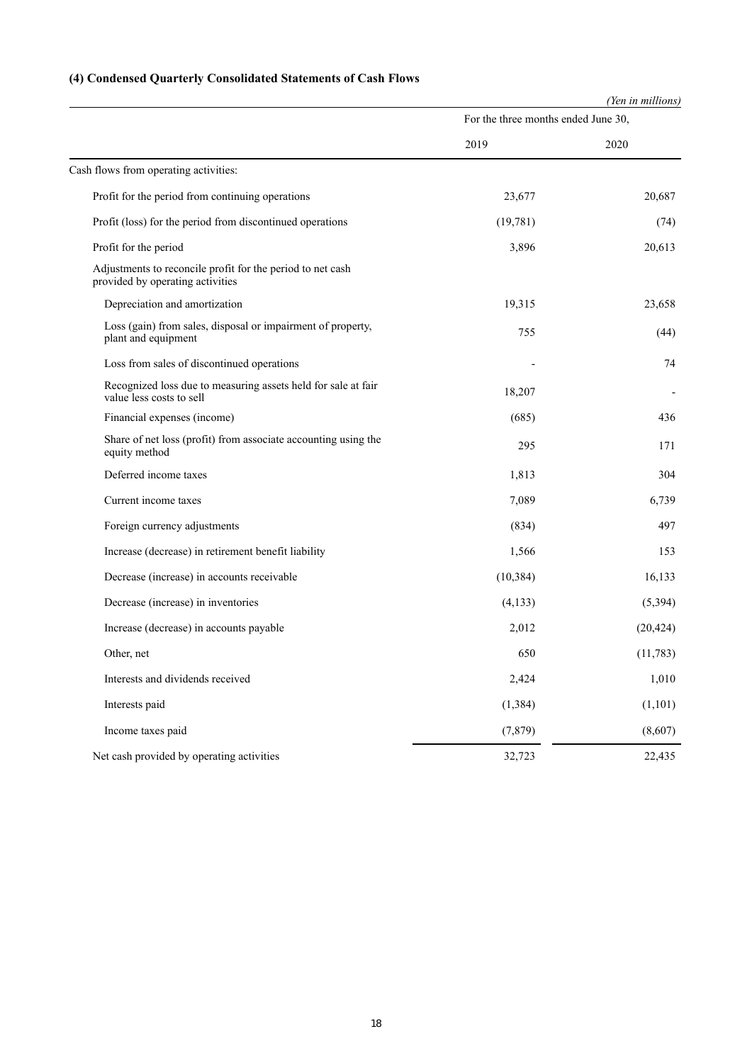# **(4) Condensed Quarterly Consolidated Statements of Cash Flows**

|                                                                                                |                                     | (Yen in millions) |
|------------------------------------------------------------------------------------------------|-------------------------------------|-------------------|
|                                                                                                | For the three months ended June 30, |                   |
|                                                                                                | 2019                                | 2020              |
| Cash flows from operating activities:                                                          |                                     |                   |
| Profit for the period from continuing operations                                               | 23,677                              | 20,687            |
| Profit (loss) for the period from discontinued operations                                      | (19,781)                            | (74)              |
| Profit for the period                                                                          | 3,896                               | 20,613            |
| Adjustments to reconcile profit for the period to net cash<br>provided by operating activities |                                     |                   |
| Depreciation and amortization                                                                  | 19,315                              | 23,658            |
| Loss (gain) from sales, disposal or impairment of property,<br>plant and equipment             | 755                                 | (44)              |
| Loss from sales of discontinued operations                                                     |                                     | 74                |
| Recognized loss due to measuring assets held for sale at fair<br>value less costs to sell      | 18,207                              |                   |
| Financial expenses (income)                                                                    | (685)                               | 436               |
| Share of net loss (profit) from associate accounting using the<br>equity method                | 295                                 | 171               |
| Deferred income taxes                                                                          | 1,813                               | 304               |
| Current income taxes                                                                           | 7,089                               | 6,739             |
| Foreign currency adjustments                                                                   | (834)                               | 497               |
| Increase (decrease) in retirement benefit liability                                            | 1,566                               | 153               |
| Decrease (increase) in accounts receivable                                                     | (10, 384)                           | 16,133            |
| Decrease (increase) in inventories                                                             | (4,133)                             | (5, 394)          |
| Increase (decrease) in accounts payable                                                        | 2,012                               | (20, 424)         |
| Other, net                                                                                     | 650                                 | (11,783)          |
| Interests and dividends received                                                               | 2,424                               | 1,010             |
| Interests paid                                                                                 | (1, 384)                            | (1,101)           |
| Income taxes paid                                                                              | (7, 879)                            | (8,607)           |
| Net cash provided by operating activities                                                      | 32,723                              | 22,435            |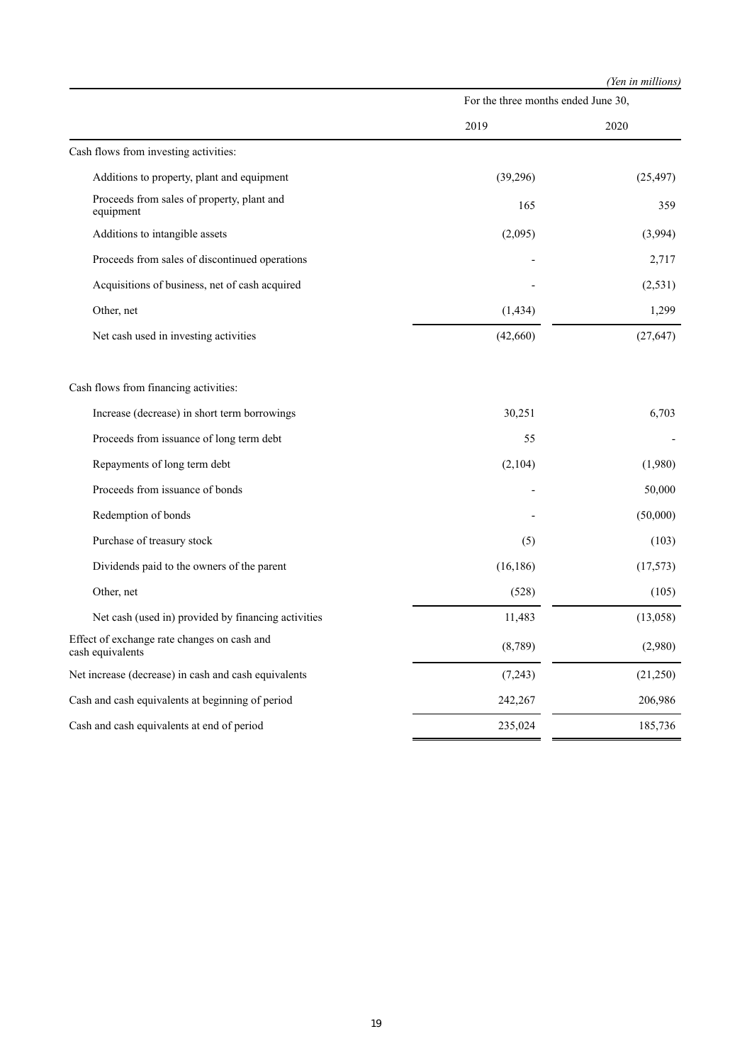|  | (Yen in millions) |  |
|--|-------------------|--|
|  |                   |  |

|                                                                 | For the three months ended June 30, |           |
|-----------------------------------------------------------------|-------------------------------------|-----------|
|                                                                 | 2019                                | 2020      |
| Cash flows from investing activities:                           |                                     |           |
| Additions to property, plant and equipment                      | (39,296)                            | (25, 497) |
| Proceeds from sales of property, plant and<br>equipment         | 165                                 | 359       |
| Additions to intangible assets                                  | (2,095)                             | (3,994)   |
| Proceeds from sales of discontinued operations                  |                                     | 2,717     |
| Acquisitions of business, net of cash acquired                  |                                     | (2,531)   |
| Other, net                                                      | (1, 434)                            | 1,299     |
| Net cash used in investing activities                           | (42,660)                            | (27, 647) |
| Cash flows from financing activities:                           |                                     |           |
| Increase (decrease) in short term borrowings                    | 30,251                              | 6,703     |
| Proceeds from issuance of long term debt                        | 55                                  |           |
| Repayments of long term debt                                    | (2,104)                             | (1,980)   |
| Proceeds from issuance of bonds                                 |                                     | 50,000    |
| Redemption of bonds                                             |                                     | (50,000)  |
| Purchase of treasury stock                                      | (5)                                 | (103)     |
| Dividends paid to the owners of the parent                      | (16, 186)                           | (17,573)  |
| Other, net                                                      | (528)                               | (105)     |
| Net cash (used in) provided by financing activities             | 11,483                              | (13,058)  |
| Effect of exchange rate changes on cash and<br>cash equivalents | (8,789)                             | (2,980)   |
| Net increase (decrease) in cash and cash equivalents            | (7,243)                             | (21,250)  |
| Cash and cash equivalents at beginning of period                | 242,267                             | 206,986   |
| Cash and cash equivalents at end of period                      | 235,024                             | 185,736   |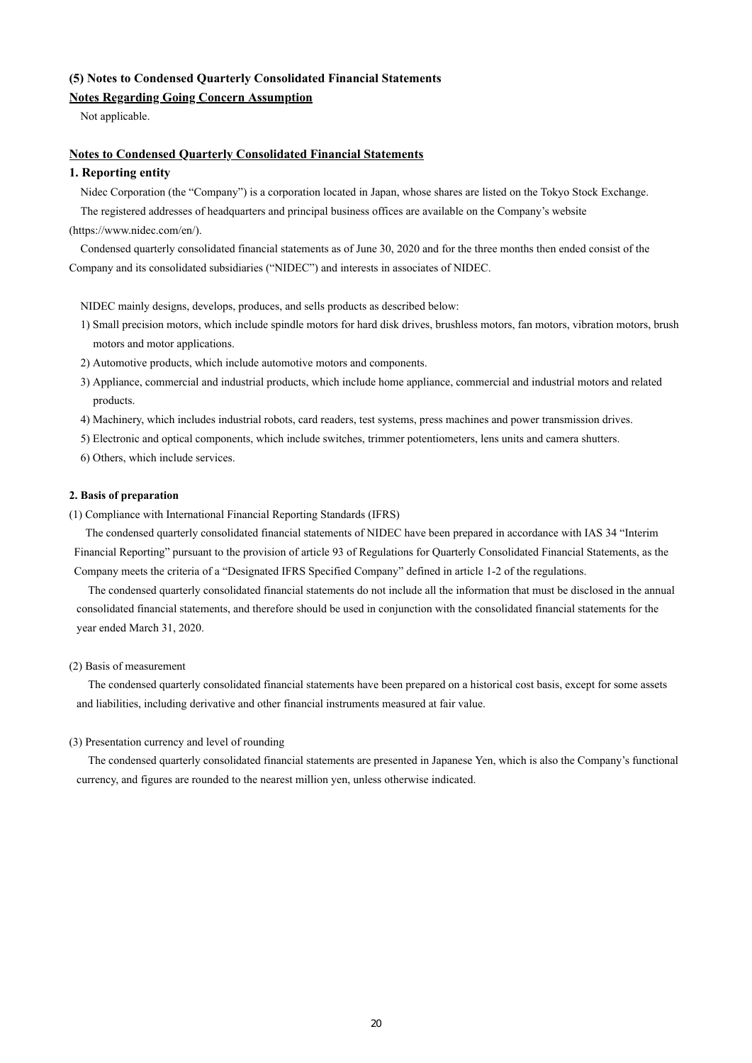## **(5) Notes to Condensed Quarterly Consolidated Financial Statements**

## **Notes Regarding Going Concern Assumption**

Not applicable.

### **Notes to Condensed Quarterly Consolidated Financial Statements**

### **1. Reporting entity**

Nidec Corporation (the "Company") is a corporation located in Japan, whose shares are listed on the Tokyo Stock Exchange.

The registered addresses of headquarters and principal business offices are available on the Company's website (https://www.nidec.com/en/).

Condensed quarterly consolidated financial statements as of June 30, 2020 and for the three months then ended consist of the Company and its consolidated subsidiaries ("NIDEC") and interests in associates of NIDEC.

NIDEC mainly designs, develops, produces, and sells products as described below:

- 1) Small precision motors, which include spindle motors for hard disk drives, brushless motors, fan motors, vibration motors, brush motors and motor applications.
- 2) Automotive products, which include automotive motors and components.
- 3) Appliance, commercial and industrial products, which include home appliance, commercial and industrial motors and related products.
- 4) Machinery, which includes industrial robots, card readers, test systems, press machines and power transmission drives.
- 5) Electronic and optical components, which include switches, trimmer potentiometers, lens units and camera shutters.
- 6) Others, which include services.

### **2. Basis of preparation**

(1) Compliance with International Financial Reporting Standards (IFRS)

The condensed quarterly consolidated financial statements of NIDEC have been prepared in accordance with IAS 34 "Interim Financial Reporting" pursuant to the provision of article 93 of Regulations for Quarterly Consolidated Financial Statements, as the Company meets the criteria of a "Designated IFRS Specified Company" defined in article 1-2 of the regulations.

The condensed quarterly consolidated financial statements do not include all the information that must be disclosed in the annual consolidated financial statements, and therefore should be used in conjunction with the consolidated financial statements for the year ended March 31, 2020.

### (2) Basis of measurement

The condensed quarterly consolidated financial statements have been prepared on a historical cost basis, except for some assets and liabilities, including derivative and other financial instruments measured at fair value.

### (3) Presentation currency and level of rounding

The condensed quarterly consolidated financial statements are presented in Japanese Yen, which is also the Company's functional currency, and figures are rounded to the nearest million yen, unless otherwise indicated.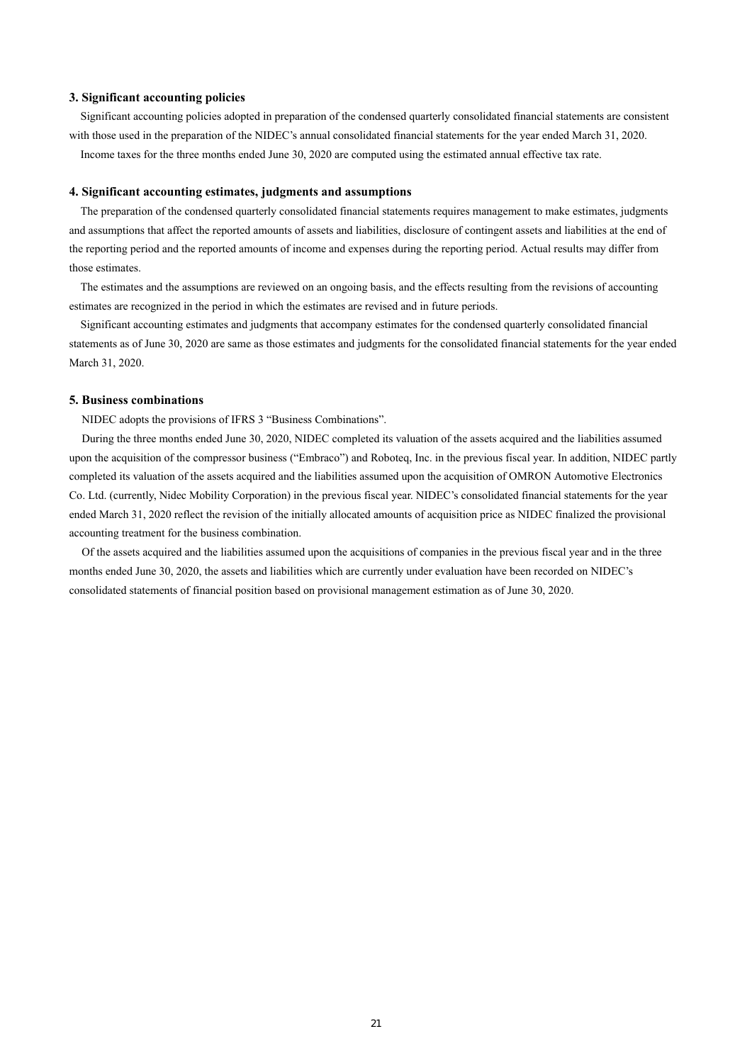### **3. Significant accounting policies**

Significant accounting policies adopted in preparation of the condensed quarterly consolidated financial statements are consistent with those used in the preparation of the NIDEC's annual consolidated financial statements for the year ended March 31, 2020. Income taxes for the three months ended June 30, 2020 are computed using the estimated annual effective tax rate.

### **4. Significant accounting estimates, judgments and assumptions**

The preparation of the condensed quarterly consolidated financial statements requires management to make estimates, judgments and assumptions that affect the reported amounts of assets and liabilities, disclosure of contingent assets and liabilities at the end of the reporting period and the reported amounts of income and expenses during the reporting period. Actual results may differ from those estimates.

The estimates and the assumptions are reviewed on an ongoing basis, and the effects resulting from the revisions of accounting estimates are recognized in the period in which the estimates are revised and in future periods.

Significant accounting estimates and judgments that accompany estimates for the condensed quarterly consolidated financial statements as of June 30, 2020 are same as those estimates and judgments for the consolidated financial statements for the year ended March 31, 2020.

### **5. Business combinations**

NIDEC adopts the provisions of IFRS 3 "Business Combinations".

During the three months ended June 30, 2020, NIDEC completed its valuation of the assets acquired and the liabilities assumed upon the acquisition of the compressor business ("Embraco") and Roboteq, Inc. in the previous fiscal year. In addition, NIDEC partly completed its valuation of the assets acquired and the liabilities assumed upon the acquisition of OMRON Automotive Electronics Co. Ltd. (currently, Nidec Mobility Corporation) in the previous fiscal year. NIDEC's consolidated financial statements for the year ended March 31, 2020 reflect the revision of the initially allocated amounts of acquisition price as NIDEC finalized the provisional accounting treatment for the business combination.

Of the assets acquired and the liabilities assumed upon the acquisitions of companies in the previous fiscal year and in the three months ended June 30, 2020, the assets and liabilities which are currently under evaluation have been recorded on NIDEC's consolidated statements of financial position based on provisional management estimation as of June 30, 2020.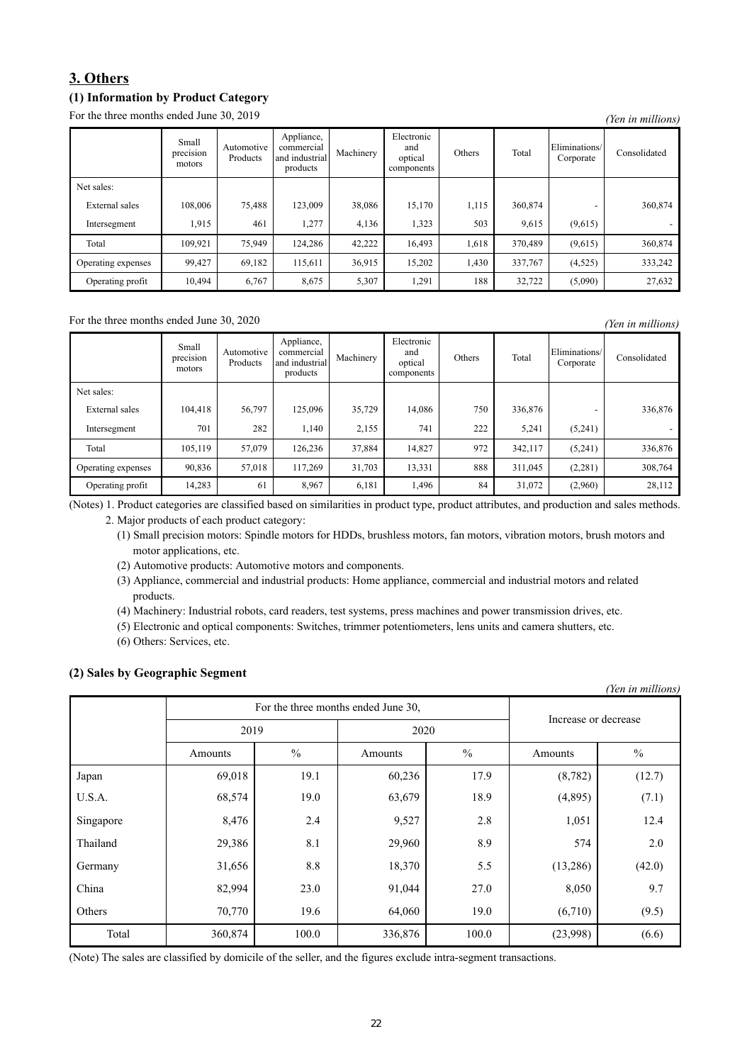# **3. Others**

## **(1) Information by Product Category**

For the three months ended June 30, 2019 *(Yen in millions) (Yen in millions)* 

|                    | Small<br>$\cdot$ $\cdot$<br>precision<br>motors | Automotive<br>Products | Appliance,<br>commercial<br>and industrial<br>products | Machinery | Electronic<br>and<br>optical<br>components | Others | Total   | Eliminations/<br>Corporate | Consolidated |
|--------------------|-------------------------------------------------|------------------------|--------------------------------------------------------|-----------|--------------------------------------------|--------|---------|----------------------------|--------------|
| Net sales:         |                                                 |                        |                                                        |           |                                            |        |         |                            |              |
| External sales     | 108,006                                         | 75,488                 | 123,009                                                | 38,086    | 15,170                                     | 1,115  | 360,874 |                            | 360,874      |
| Intersegment       | 1,915                                           | 461                    | 1,277                                                  | 4,136     | 1,323                                      | 503    | 9,615   | (9,615)                    |              |
| Total              | 109,921                                         | 75,949                 | 124,286                                                | 42,222    | 16,493                                     | 1,618  | 370,489 | (9,615)                    | 360,874      |
| Operating expenses | 99,427                                          | 69,182                 | 115,611                                                | 36,915    | 15,202                                     | 1,430  | 337,767 | (4,525)                    | 333,242      |
| Operating profit   | 10,494                                          | 6,767                  | 8,675                                                  | 5,307     | 1,291                                      | 188    | 32,722  | (5,090)                    | 27,632       |

For the three months ended June 30, 2020 *(Yen in millions) (Yen in millions)* 

|                    | Small<br>precision<br>motors | Automotive<br>Products | Appliance,<br>commercial<br>and industrial<br>products | Machinery | Electronic<br>and<br>optical<br>components | Others | Total   | Eliminations/<br>Corporate | Consolidated |
|--------------------|------------------------------|------------------------|--------------------------------------------------------|-----------|--------------------------------------------|--------|---------|----------------------------|--------------|
| Net sales:         |                              |                        |                                                        |           |                                            |        |         |                            |              |
| External sales     | 104,418                      | 56,797                 | 125,096                                                | 35,729    | 14,086                                     | 750    | 336,876 |                            | 336,876      |
| Intersegment       | 701                          | 282                    | 1.140                                                  | 2,155     | 741                                        | 222    | 5,241   | (5,241)                    |              |
| Total              | 105,119                      | 57,079                 | 126,236                                                | 37,884    | 14,827                                     | 972    | 342,117 | (5,241)                    | 336,876      |
| Operating expenses | 90,836                       | 57,018                 | 117,269                                                | 31,703    | 13,331                                     | 888    | 311,045 | (2,281)                    | 308,764      |
| Operating profit   | 14,283                       | 61                     | 8,967                                                  | 6,181     | 1,496                                      | 84     | 31,072  | (2,960)                    | 28,112       |

(Notes) 1. Product categories are classified based on similarities in product type, product attributes, and production and sales methods.

2. Major products of each product category:

(1) Small precision motors: Spindle motors for HDDs, brushless motors, fan motors, vibration motors, brush motors and motor applications, etc.

(2) Automotive products: Automotive motors and components.

(3) Appliance, commercial and industrial products: Home appliance, commercial and industrial motors and related products.

(4) Machinery: Industrial robots, card readers, test systems, press machines and power transmission drives, etc.

(5) Electronic and optical components: Switches, trimmer potentiometers, lens units and camera shutters, etc.

(6) Others: Services, etc.

## **(2) Sales by Geographic Segment**

| (Yen in millions) |                      |               |         |               |          |               |  |  |  |  |
|-------------------|----------------------|---------------|---------|---------------|----------|---------------|--|--|--|--|
|                   | Increase or decrease |               |         |               |          |               |  |  |  |  |
|                   | 2019                 |               | 2020    |               |          |               |  |  |  |  |
|                   | Amounts              | $\frac{0}{0}$ | Amounts | $\frac{0}{0}$ | Amounts  | $\frac{0}{0}$ |  |  |  |  |
| Japan             | 69,018               | 19.1          | 60,236  | 17.9          | (8, 782) | (12.7)        |  |  |  |  |
| U.S.A.            | 68,574               | 19.0          | 63,679  | 18.9          | (4,895)  | (7.1)         |  |  |  |  |
| Singapore         | 8,476                | 2.4           | 9,527   | 2.8           | 1,051    | 12.4          |  |  |  |  |
| Thailand          | 29,386               | 8.1           | 29,960  | 8.9           | 574      | 2.0           |  |  |  |  |
| Germany           | 31,656               | 8.8           | 18,370  | 5.5           | (13,286) | (42.0)        |  |  |  |  |
| China             | 82,994               | 23.0          | 91,044  | 27.0          | 8,050    | 9.7           |  |  |  |  |
| Others            | 70,770               | 19.6          | 64,060  | 19.0          | (6,710)  | (9.5)         |  |  |  |  |
| Total             | 360,874              | 100.0         | 336,876 | 100.0         | (23,998) | (6.6)         |  |  |  |  |

(Note) The sales are classified by domicile of the seller, and the figures exclude intra-segment transactions.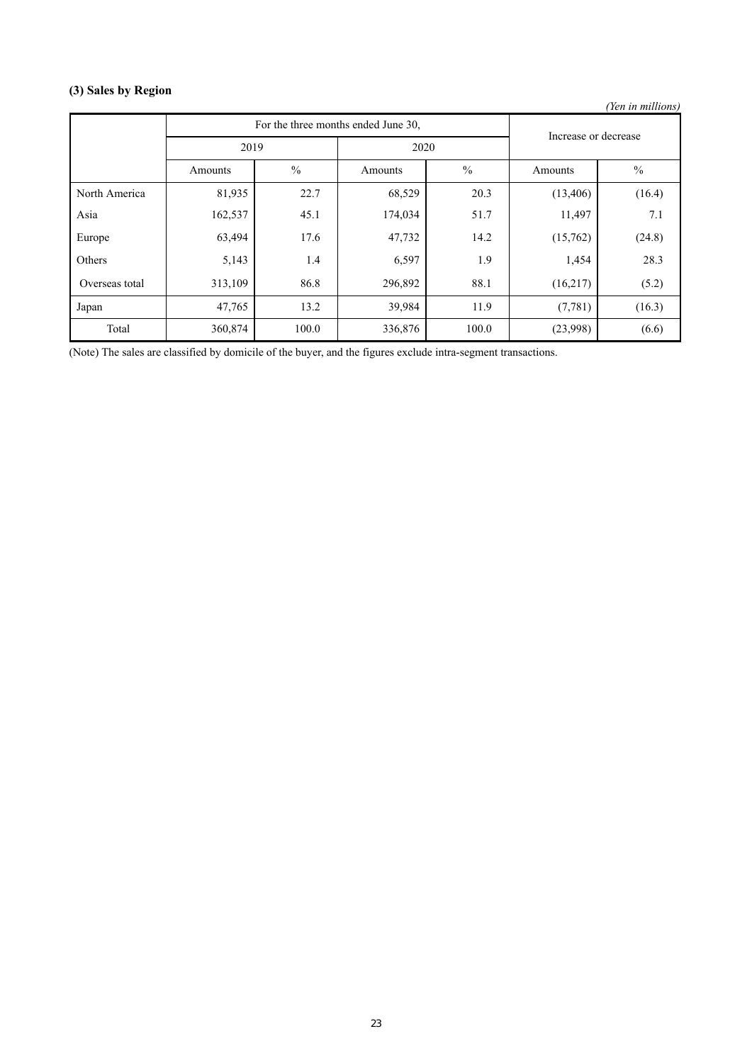# **(3) Sales by Region**

*(Yen in millions)*

|                |         | For the three months ended June 30, | Increase or decrease |               |           |               |  |
|----------------|---------|-------------------------------------|----------------------|---------------|-----------|---------------|--|
|                | 2019    |                                     | 2020                 |               |           |               |  |
|                | Amounts | $\frac{0}{0}$                       | Amounts              | $\frac{0}{0}$ | Amounts   | $\frac{0}{0}$ |  |
| North America  | 81,935  | 22.7                                | 68,529               | 20.3          | (13, 406) | (16.4)        |  |
| Asia           | 162,537 | 45.1                                | 174,034              | 51.7          | 11,497    | 7.1           |  |
| Europe         | 63,494  | 17.6                                | 47,732               | 14.2          | (15,762)  | (24.8)        |  |
| Others         | 5,143   | 1.4                                 | 6,597                | 1.9           | 1,454     | 28.3          |  |
| Overseas total | 313,109 | 86.8                                | 296,892              | 88.1          | (16,217)  | (5.2)         |  |
| Japan          | 47,765  | 13.2                                | 39,984               | 11.9          | (7, 781)  | (16.3)        |  |
| Total          | 360,874 | 100.0                               | 336,876              | 100.0         | (23,998)  | (6.6)         |  |

(Note) The sales are classified by domicile of the buyer, and the figures exclude intra-segment transactions.